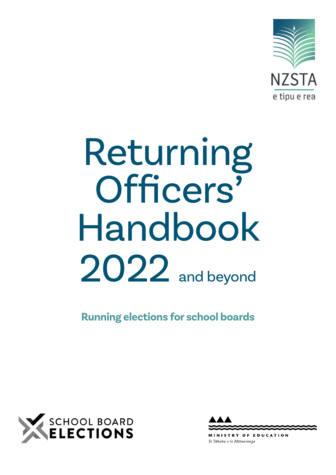

# Returning Officers' Handbook 2022 and beyond

**Running elections for school boards**





**NISTRY OF EDUCATION** Te Tāhuhu o te Mātauranga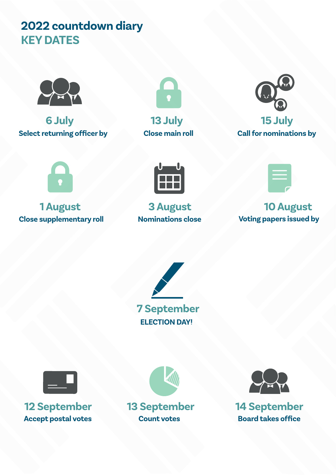# **2022 countdown diary KEY DATES**



**6 July 13 July 15 July Select returning officer by Close main roll Call for nominations by**







**Close supplementary roll Nominations close Voting papers issued by**





# **1 August 3 August 10 August**





**12 September 13 September 14 September** Accept postal votes **Count votes Board takes office** 



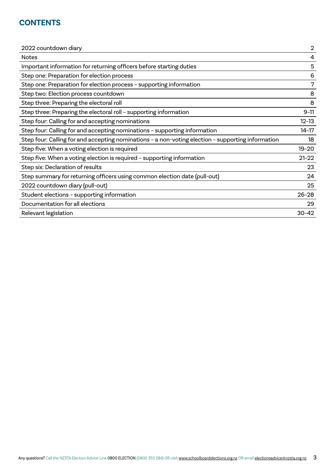# **CONTENTS**

| $\mathbf{2}$ |
|--------------|
| 4            |
| 5            |
| 6            |
| 7            |
| 8            |
| 8            |
| $9 - 11$     |
| $12 - 13$    |
| $14-17$      |
| 18           |
| $19 - 20$    |
| $21 - 22$    |
| 23           |
| 24           |
| 25           |
| $26 - 28$    |
| 29           |
| $30 - 42$    |
|              |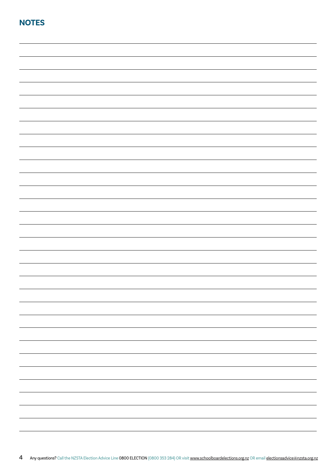| <b>NOTES</b> |  |
|--------------|--|
|              |  |
|              |  |
|              |  |
|              |  |
|              |  |
|              |  |
|              |  |
|              |  |
|              |  |
|              |  |
|              |  |
|              |  |
|              |  |
|              |  |
|              |  |
|              |  |
|              |  |
|              |  |
|              |  |
|              |  |
|              |  |
|              |  |
|              |  |
|              |  |
|              |  |
|              |  |
|              |  |
|              |  |
|              |  |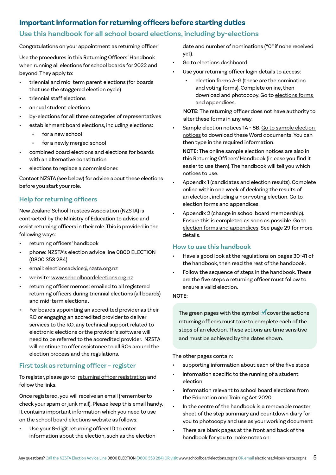# **Important information for returning officers before starting duties**

# **Use this handbook for all school board elections, including by-elections**

Congratulations on your appointment as returning officer!

Use the procedures in this Returning Officers' Handbook when running all elections for school boards for 2022 and beyond. They apply to:

- triennial and mid-term parent elections (for boards that use the staggered election cycle)
- triennial staff elections
- annual student elections
- by-elections for all three categories of representatives
- establishment board elections, including elections:
	- for a new school
	- for a newly merged school
- combined board elections and elections for boards with an alternative constitution
- elections to replace a commissioner.

Contact NZSTA (see below) for advice about these elections before you start your role.

# **Help for returning officers**

New Zealand School Trustees Association (NZSTA) is contracted by the Ministry of Education to advise and assist returning officers in their role. This is provided in the following ways:

- returning officers' handbook
- phone: NZSTA's election advice line 0800 ELECTION (0800 353 284)
- email: [electionsadvice@nzsta.org.nz](mailto:electionsadvice@nzsta.org.nz)
- website: [www.schoolboardelections.org.nz](http://www.schoolboardelections.org.nz)
- returning officer memos: emailed to all registered returning officers during triennial elections (all boards) and mid-term elections .
- For boards appointing an accredited provider as their RO or engaging an accredited provider to deliver services to the RO, any technical support related to electronic elections or the provider's software will need to be referred to the accredited provider. NZSTA will continue to offer assistance to all ROs around the election process and the regulations.

# **First task as returning officer – register**

To register, please go to: [returning officer registration](https://schoolboardelections.org.nz/returning-officers/returning-officer-registration/) and follow the links.

Once registered, you will receive an email (remember to check your spam or junk mail). Please keep this email handy. It contains important information which you need to use on the [school board elections website](https://schoolboardelections.org.nz) as follows:

Use your 8-digit returning officer ID to enter information about the election, such as the election date and number of nominations ("0" if none received yet).

- Go to [elections dashboard](https://www.schoolboardelections.org.nz/Security/login?BackURL=%2Felections-dashboard%2F).
- Use your returning officer login details to access:
	- election forms A–G (these are the nomination and voting forms). Complete online, then download and photocopy. Go to [elections forms](https://www.schoolboardelections.org.nz/returning-officers/cover-notices-letters-and-declarations/election-forms-and-appendices/)  [and appendices.](https://www.schoolboardelections.org.nz/returning-officers/cover-notices-letters-and-declarations/election-forms-and-appendices/)

**NOTE:** The returning officer does not have authority to alter these forms in any way.

Sample election notices 1A - 8B. Go to sample election [notices](https://www.schoolboardelections.org.nz/returning-officers/cover-notices-letters-and-declarations/sample-election-notices/) to download these Word documents. You can then type in the required information.

**NOTE:** The online sample election notices are also in this Returning Officers' Handbook (in case you find it easier to use them). The handbook will tell you which notices to use.

- Appendix 1 (candidates and election results). Complete online within one week of declaring the results of an election, including a non-voting election. Go to election forms and appendices.
- Appendix 2 (change in school board membership). Ensure this is completed as soon as possible. Go to [election forms and appendices](https://www.schoolboardelections.org.nz/returning-officers/cover-notices-letters-and-declarations/election-forms-and-appendices/). See page 29 for more details.

# **How to use this handbook**

- Have a good look at the regulations on pages 30-41 of the handbook, then read the rest of the handbook.
- Follow the sequence of steps in the handbook. These are the five steps a returning officer must follow to ensure a valid election.

# **NOTE:**

The green pages with the symbol  $\blacksquare$  cover the actions returning officers must take to complete each of the steps of an election. These actions are time sensitive and must be achieved by the dates shown.

The other pages contain:

- supporting information about each of the five steps
- information specific to the running of a student election
- information relevant to school board elections from the Education and Training Act 2020
- In the centre of the handbook is a removable master sheet of the step summary and countdown diary for you to photocopy and use as your working document
- There are blank pages at the front and back of the handbook for you to make notes on.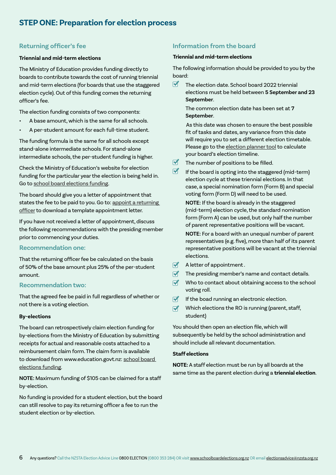# **Returning officer's fee**

# **Triennial and mid-term elections**

The Ministry of Education provides funding directly to boards to contribute towards the cost of running triennial and mid-term elections (for boards that use the staggered election cycle). Out of this funding comes the returning officer's fee.

The election funding consists of two components:

- A base amount, which is the same for all schools.
- A per-student amount for each full-time student.

The funding formula is the same for all schools except stand-alone intermediate schools. For stand-alone intermediate schools, the per-student funding is higher.

Check the Ministry of Education's website for election funding for the particular year the election is being held in. Go to [school board elections funding.](https://www.education.govt.nz/school/funding-and-financials/resourcing/school-board-elections-funding/)

The board should give you a letter of appointment that states the fee to be paid to you. Go to: [appoint a returning](https://schoolboardelections.org.nz/board-resources/appoint-a-returning-officer/)  [officer](https://schoolboardelections.org.nz/board-resources/appoint-a-returning-officer/) to download a template appointment letter.

If you have not received a letter of appointment, discuss the following recommendations with the presiding member prior to commencing your duties.

# **Recommendation one:**

That the returning officer fee be calculated on the basis of 50% of the base amount plus 25% of the per-student amount.

# **Recommendation two:**

That the agreed fee be paid in full regardless of whether or not there is a voting election.

### **By-elections**

The board can retrospectively claim election funding for by-elections from the Ministry of Education by submitting receipts for actual and reasonable costs attached to a reimbursement claim form. The claim form is available to download from www.education.govt.nz: [school board](https://www.education.govt.nz/school/funding-and-financials/resourcing/school-board-elections-funding/)  [elections funding](https://www.education.govt.nz/school/funding-and-financials/resourcing/school-board-elections-funding/).

**NOTE:** Maximum funding of \$105 can be claimed for a staff by-election.

No funding is provided for a student election, but the board can still resolve to pay its returning officer a fee to run the student election or by-election.

# **Information from the board**

### **Triennial and mid-term elections**

The following information should be provided to you by the board:

The election date. School board 2022 triennial elections must be held between **5 September and 23 September**.

The common election date has been set at **7 September**.

 As this date was chosen to ensure the best possible fit of tasks and dates, any variance from this date will require you to set a different election timetable. Please go to the [election planner tool](https://schoolboardelections.org.nz/board-resources/election-planning/) to calculate your board's election timeline.

- $\blacksquare$ The number of positions to be filled.
- $\overrightarrow{M}$ If the board is opting into the staggered (mid-term) election cycle at these triennial elections. In that case, a special nomination form (Form B) and special voting form (Form D) will need to be used.

**NOTE:** If the board is already in the staggered (mid-term) election cycle, the standard nomination form (Form A) can be used, but only half the number of parent representative positions will be vacant.

**NOTE:** For a board with an unequal number of parent representatives (e.g. five), more than half of its parent representative positions will be vacant at the triennial elections.

- $\blacksquare$ A letter of appointment .
- $\overline{\mathbf{M}}$ The presiding member's name and contact details.
- Who to contact about obtaining access to the school voting roll.
- If the boad running an electronic election.  $\overline{\mathbf{M}}$
- Which elections the RO is running (parent, staff,  $\overline{\mathbf{M}}$ student)

You should then open an election file, which will subsequently be held by the school administration and should include all relevant documentation.

# **Staff elections**

**NOTE:** A staff election must be run by all boards at the same time as the parent election during a **triennial election**.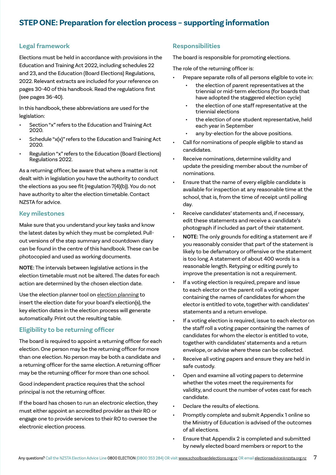# **STEP ONE: Preparation for election process – supporting information**

# **Legal framework**

Elections must be held in accordance with provisions in the Education and Training Act 2022, including schedules 22 and 23, and the Education (Board Elections) Regulations, 2022. Relevant extracts are included for your reference on pages 30-40 of this handbook. Read the regulations first (see pages 36-40).

In this handbook, these abbreviations are used for the legislation:

- Section "x" refers to the Education and Training Act 2020.
- Schedule "x(x)" refers to the Education and Training Act 2020.
- Regulation "x" refers to the Education (Board Elections) Regulations 2022.

As a returning officer, be aware that where a matter is not dealt with in legislation you have the authority to conduct the elections as you see fit (regulation 7(4)(b)). You do not have authority to alter the election timetable. Contact NZSTA for advice.

# **Key milestones**

Make sure that you understand your key tasks and know the latest dates by which they must be completed. Pullout versions of the step summary and countdown diary can be found in the centre of this handbook. These can be photocopied and used as working documents.

**NOTE:** The intervals between legislative actions in the election timetable must not be altered. The dates for each action are determined by the chosen election date.

Use the election planner tool on [election planning](https://schoolboardelections.org.nz/board-resources/election-planning/) to insert the election date for your board's election(s), the key election dates in the election process will generate automatically. Print out the resulting table.

# **Eligibility to be returning officer**

The board is required to appoint a returning officer for each election. One person may be the returning officer for more than one election. No person may be both a candidate and a returning officer for the same election. A returning officer may be the returning officer for more than one school.

Good independent practice requires that the school principal is not the returning officer.

If the board has chosen to run an electronic election, they must either appoint an accredited provider as their RO or engage one to provide services to their RO to oversee the electronic election process.

# **Responsibilities**

The board is responsible for promoting elections.

The role of the returning officer is:

- Prepare separate rolls of all persons eligible to vote in:
	- the election of parent representatives at the triennial or mid-term elections (for boards that have adopted the staggered election cycle)
	- the election of one staff representative at the triennial elections
	- the election of one student representative, held each year in September
	- any by-election for the above positions.
- Call for nominations of people eligible to stand as candidates.
- Receive nominations, determine validity and update the presiding member about the number of nominations.
- Ensure that the name of every eligible candidate is available for inspection at any reasonable time at the school, that is, from the time of receipt until polling day.
- Receive candidates' statements and, if necessary, edit these statements and receive a candidate's photograph if included as part of their statement.
- **NOTE:** The only grounds for editing a statement are if you reasonably consider that part of the statement is likely to be defamatory or offensive or the statement is too long. A statement of about 400 words is a reasonable length. Retyping or editing purely to improve the presentation is not a requirement.
- If a voting election is required, prepare and issue to each elector on the parent roll a voting paper containing the names of candidates for whom the elector is entitled to vote, together with candidates' statements and a return envelope.
- If a voting election is required, issue to each elector on the staff roll a voting paper containing the names of candidates for whom the elector is entitled to vote, together with candidates' statements and a return envelope, or advise where these can be collected.
- Receive all voting papers and ensure they are held in safe custody.
- Open and examine all voting papers to determine whether the votes meet the requirements for validity, and count the number of votes cast for each candidate.
- Declare the results of elections.
- Promptly complete and submit Appendix 1 online so the Ministry of Education is advised of the outcomes of all elections.
- Ensure that Appendix 2 is completed and submitted by newly elected board members or report to the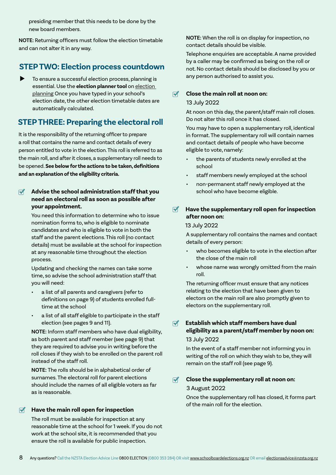presiding member that this needs to be done by the new board members.

**NOTE:** Returning officers must follow the election timetable and can not alter it in any way.

# **STEP TWO: Election process countdown**

 To ensure a successful election process, planning is essential. Use the **election planner tool** on [election](https://schoolboardelections.org.nz/board-resources/election-planning/)  [planning](https://schoolboardelections.org.nz/board-resources/election-planning/) Once you have typed in your school's election date, the other election timetable dates are automatically calculated.

# **STEP THREE: Preparing the electoral roll**

It is the responsibility of the returning officer to prepare a roll that contains the name and contact details of every person entitled to vote in the election. This roll is referred to as the main roll, and after it closes, a supplementary roll needs to be opened. **See below for the actions to be taken, definitions and an explanation of the eligibility criteria.**

# **Advise the school administration staff that you need an electoral roll as soon as possible after your appointment.**

You need this information to determine who to issue nomination forms to, who is eligible to nominate candidates and who is eligible to vote in both the staff and the parent elections. This roll (no contact details) must be available at the school for inspection at any reasonable time throughout the election process.

Updating and checking the names can take some time, so advise the school administration staff that you will need:

- a list of all parents and caregivers (refer to definitions on page 9) of students enrolled fulltime at the school
- a list of all staff eligible to participate in the staff election (see pages 9 and 11).

**NOTE:** Inform staff members who have dual eligibility, as both parent and staff member (see page 9) that they are required to advise you in writing before the roll closes if they wish to be enrolled on the parent roll instead of the staff roll.

**NOTE:** The rolls should be in alphabetical order of surnames. The electoral roll for parent elections should include the names of all eligible voters as far as is reasonable.

# **Have the main roll open for inspection**

The roll must be available for inspection at any reasonable time at the school for 1 week. If you do not work at the school site, it is recommended that you ensure the roll is available for public inspection.

**NOTE:** When the roll is on display for inspection, no contact details should be visible.

Telephone enquiries are acceptable. A name provided by a caller may be confirmed as being on the roll or not. No contact details should be disclosed by you or any person authorised to assist you.

# **Close the main roll at noon on:**

# 13 July 2022

At noon on this day, the parent/staff main roll closes. Do not alter this roll once it has closed.

You may have to open a supplementary roll, identical in format. The supplementary roll will contain names and contact details of people who have become eligible to vote, namely:

- the parents of students newly enrolled at the school
- staff members newly employed at the school
- non-permanent staff newly employed at the school who have become eligible.

# **Have the supplementary roll open for inspection after noon on:**

# 13 July 2022

A supplementary roll contains the names and contact details of every person:

- who becomes eligible to vote in the election after the close of the main roll
- whose name was wrongly omitted from the main roll.

The returning officer must ensure that any notices relating to the election that have been given to electors on the main roll are also promptly given to electors on the supplementary roll.

**Establish which staff members have dual eligibility as a parent/staff member by noon on:**  13 July 2022

In the event of a staff member not informing you in writing of the roll on which they wish to be, they will remain on the staff roll (see page 9).

### $\overline{\mathbf{M}}$ **Close the supplementary roll at noon on:**

# 3 August 2022

Once the supplementary roll has closed, it forms part of the main roll for the election.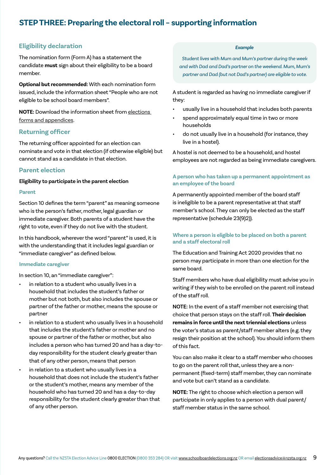# **STEP THREE: Preparing the electoral roll – supporting information**

# **Eligibility declaration**

The nomination form (Form A) has a statement the candidate **must** sign about their eligibility to be a board member.

**Optional but recommended:** With each nomination form issued, include the information sheet "People who are not eligible to be school board members".

**NOTE:** Download the information sheet from [elections](https://www.schoolboardelections.org.nz/returning-officers/cover-notices-letters-and-declarations/election-forms-and-appendices/)  [forms and appendices.](https://www.schoolboardelections.org.nz/returning-officers/cover-notices-letters-and-declarations/election-forms-and-appendices/)

# **Returning officer**

The returning officer appointed for an election can nominate and vote in that election (if otherwise eligible) but cannot stand as a candidate in that election.

# **Parent election**

**Eligibility to participate in the parent election**

### **Parent**

Section 10 defines the term "parent" as meaning someone who is the person's father, mother, legal guardian or immediate caregiver. Both parents of a student have the right to vote, even if they do not live with the student.

In this handbook, wherever the word "parent" is used, it is with the understanding that it includes legal guardian or "immediate caregiver" as defined below.

### **Immediate caregiver**

In section 10, an "immediate caregiver":

- in relation to a student who usually lives in a household that includes the student's father or mother but not both, but also includes the spouse or partner of the father or mother, means the spouse or partner
- in relation to a student who usually lives in a household that includes the student's father or mother and no spouse or partner of the father or mother, but also includes a person who has turned 20 and has a day-today responsibility for the student clearly greater than that of any other person, means that person
- in relation to a student who usually lives in a household that does not include the student's father or the student's mother, means any member of the household who has turned 20 and has a day-to-day responsibility for the student clearly greater than that of any other person.

### *Example*

*Student lives with Mum and Mum's partner during the week and with Dad and Dad's partner on the weekend. Mum, Mum's partner and Dad (but not Dad's partner) are eligible to vote.*

A student is regarded as having no immediate caregiver if they:

- usually live in a household that includes both parents
- spend approximately equal time in two or more households
- do not usually live in a household (for instance, they live in a hostel).

A hostel is not deemed to be a household, and hostel employees are not regarded as being immediate caregivers.

# **A person who has taken up a permanent appointment as an employee of the board**

A permanently appointed member of the board staff is ineligible to be a parent representative at that staff member's school. They can only be elected as the staff representative (schedule 23(9)2)).

# **Where a person is eligible to be placed on both a parent and a staff electoral roll**

The Education and Training Act 2020 provides that no person may participate in more than one election for the same board.

Staff members who have dual eligibility must advise you in writing if they wish to be enrolled on the parent roll instead of the staff roll.

**NOTE:** In the event of a staff member not exercising that choice that person stays on the staff roll. **Their decision remains in force until the next triennial elections** unless the voter's status as parent/staff member alters (e.g. they resign their position at the school). You should inform them of this fact.

You can also make it clear to a staff member who chooses to go on the parent roll that, unless they are a nonpermanent (fixed-term) staff member, they can nominate and vote but can't stand as a candidate.

**NOTE:** The right to choose which election a person will participate in only applies to a person with dual parent/ staff member status in the same school.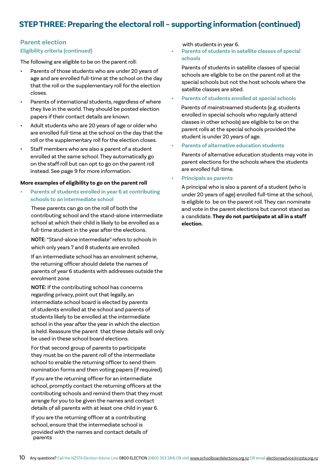# **STEP THREE: Preparing the electoral roll – supporting information (continued)**

# **Parent election**

# **Eligibility criteria (continued)**

The following are eligible to be on the parent roll:

- Parents of those students who are under 20 years of age and are enrolled full-time at the school on the day that the roll or the supplementary roll for the election closes.
- Parents of international students, regardless of where they live in the world. They should be posted election papers if their contact details are known.
- Adult students who are 20 years of age or older who are enrolled full-time at the school on the day that the roll or the supplementary roll for the election closes.
- Staff members who are also a parent of a student enrolled at the same school. They automatically go on the staff roll but can opt to go on the parent roll instead. See page 9 for more information.

# **More examples of eligibility to go on the parent roll**

- **• Parents of students enrolled in year 6 at contributing schools to an intermediate school**
	- These parents can go on the roll of both the contributing school and the stand-alone intermediate school at which their child is likely to be enrolled as a full-time student in the year after the elections.

**NOTE:** "Stand-alone intermediate" refers to schools in which only years 7 and 8 students are enrolled.

If an intermediate school has an enrolment scheme, the returning officer should delete the names of parents of year 6 students with addresses outside the enrolment zone.

**NOTE:** If the contributing school has concerns regarding privacy, point out that legally, an intermediate school board is elected by parents of students enrolled at the school and parents of students likely to be enrolled at the intermediate school in the year after the year in which the election is held. Reassure the parent that these details will only be used in these school board elections.

For that second group of parents to participate they must be on the parent roll of the intermediate school to enable the returning officer to send them nomination forms and then voting papers (if required).

If you are the returning officer for an intermediate school, promptly contact the returning officers at the contributing schools and remind them that they must arrange for you to be given the names and contact details of all parents with at least one child in year 6.

 If you are the returning officer at a contributing school, ensure that the intermediate school is provided with the names and contact details of parents

with students in year 6.

# **• Parents of students in satellite classes of special schools**

Parents of students in satellite classes of special schools are eligible to be on the parent roll at the special schools but not the host schools where the satellite classes are sited.

# **• Parents of students enrolled at special schools**

 Parents of mainstreamed students (e.g. students enrolled in special schools who regularly attend classes in other schools) are eligible to be on the parent rolls at the special schools provided the student is under 20 years of age.

# **• Parents of alternative education students**

Parents of alternative education students may vote in parent elections for the schools where the students are enrolled full-time.

# **• Principals as parents**

A principal who is also a parent of a student (who is under 20 years of age) enrolled full-time at the school, is eligible to be on the parent roll. They can nominate and vote in the parent elections but cannot stand as a candidate. **They do not participate at all in a staff election.**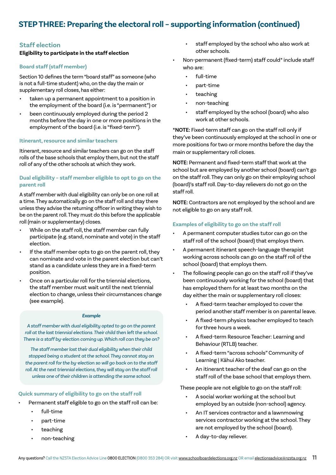# **STEP THREE: Preparing the electoral roll – supporting information (continued)**

# **Staff election**

# **Eligibility to participate in the staff election**

### **Board staff (staff member)**

Section 10 defines the term "board staff" as someone (who is not a full-time student) who, on the day the main or supplementary roll closes, has either:

- taken up a permanent appointment to a position in the employment of the board (i.e. is "permanent") or
- been continuously employed during the period 2 months before the day in one or more positions in the employment of the board (i.e. is "fixed-term").

### **Itinerant, resource and similar teachers**

Itinerant, resource and similar teachers can go on the staff rolls of the base schools that employ them, but not the staff roll of any of the other schools at which they work.

# **Dual eligibility – staff member eligible to opt to go on the parent roll**

A staff member with dual eligibility can only be on one roll at a time. They automatically go on the staff roll and stay there unless they advise the returning officer in writing they wish to be on the parent roll. They must do this before the applicable roll (main or supplementary) closes.

- While on the staff roll, the staff member can fully participate (e.g. stand, nominate and vote) in the staff election.
- If the staff member opts to go on the parent roll, they can nominate and vote in the parent election but can't stand as a candidate unless they are in a fixed-term position.
- Once on a particular roll for the triennial elections, the staff member must wait until the next triennial election to change, unless their circumstances change (see example).

### *Example*

*A staff member with dual eligibility opted to go on the parent roll at the last triennial elections. Their child then left the school. There is a staff by-election coming up. Which roll can they be on?*

*The staff member lost their dual eligibility when their child stopped being a student at the school. They cannot stay on the parent roll for the by-election so will go back on to the staff*  roll. At the next triennial elections, they will stay on the staff roll *unless one of their children is attending the same school.* 

# **Quick summary of eligibility to go on the staff roll**

- Permanent staff eligible to go on the staff roll can be:
	- full-time
	- part-time
	- teaching
	- non-teaching
- staff employed by the school who also work at other schools.
- Non-permanent (fixed-term) staff could\* include staff who are:
	- full-time
	- part-time
	- teaching
	- non-teaching
	- staff employed by the school (board) who also work at other schools.

**\*NOTE:** Fixed-term staff can go on the staff roll only if they've been continuously employed at the school in one or more positions for two or more months before the day the main or supplementary roll closes.

**NOTE:** Permanent and fixed-term staff that work at the school but are employed by another school (board) can't go on the staff roll. They can only go on their employing school (board)'s staff roll. Day-to-day relievers do not go on the staff roll.

**NOTE:** Contractors are not employed by the school and are not eligible to go on any staff roll.

### **Examples of eligibility to go on the staff roll**

- A permanent computer studies tutor can go on the staff roll of the school (board) that employs them.
- A permanent itinerant speech-language therapist working across schools can go on the staff roll of the school (board) that employs them.
- The following people can go on the staff roll if they've been continuously working for the school (board) that has employed them for at least two months on the day either the main or supplementary roll closes:
	- A fixed-term teacher employed to cover the period another staff member is on parental leave.
	- A fixed-term physics teacher employed to teach for three hours a week.
	- A fixed-term Resource Teacher: Learning and Behaviour (RTLB) teacher.
	- A fixed-term "across schools" Community of Learning | Kāhui Ako teacher.
	- An itinerant teacher of the deaf can go on the staff roll of the base school that employs them.

These people are not eligible to go on the staff roll:

- A social worker working at the school but employed by an outside (non-school) agency.
- An IT services contractor and a lawnmowing services contractor working at the school. They are not employed by the school (board).
	- A day-to-day reliever.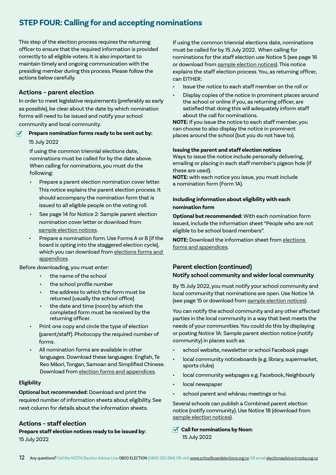# **STEP FOUR: Calling for and accepting nominations**

This step of the election process requires the returning officer to ensure that the required information is provided correctly to all eligible voters. It is also important to maintain timely and ongoing communication with the presiding member during this process. Please follow the actions below carefully.

# **Actions – parent election**

In order to meet legislative requirements (preferably as early as possible), be clear about the date by which nomination forms will need to be issued and notify your school community and local community.

# **Prepare nomination forms ready to be sent out by:**

# 15 July 2022

If using the common triennial elections date, nominations must be called for by the date above. When calling for nominations, you must do the following:

- Prepare a parent election nomination cover letter. This notice explains the parent election process. It should accompany the nomination form that is issued to all eligible people on the voting roll.
- See page 14 for Notice 2: Sample parent election nomination cover letter or download from [sample election notices.](https://www.schoolboardelections.org.nz/returning-officers/cover-notices-letters-and-declarations/sample-election-notices/)
- Prepare a nomination form. Use Forms A or B (if the board is opting into the staggered election cycle), which you can download from elections forms and [appendices](https://www.schoolboardelections.org.nz/returning-officers/cover-notices-letters-and-declarations/election-forms-and-appendices/).

Before downloading, you must enter:

- the name of the school
- the school profile number
- the address to which the form must be returned (usually the school office)
- the date and time (noon) by which the completed form must be received by the returning officer.
- Print one copy and circle the type of election (parent/staff). Photocopy the required number of forms.
- All nomination forms are available in other languages. Download these languages: English, Te Reo Māori, Tongan, Samoan and Simplified Chinese. Download from [election forms and appendices](https://www.schoolboardelections.org.nz/returning-officers/cover-notices-letters-and-declarations/election-forms-and-appendices/).

# **Eligibility**

**Optional but recommended:** Download and print the required number of information sheets about eligibility. See next column for details about the information sheets.

# **Actions – staff election**

**Prepare staff election notices ready to be issued by:** 15 July 2022

If using the common triennial elections date, nominations must be called for by 15 July 2022. When calling for nominations for the staff election use Notice 5 (see page 16 or download from [sample election notices](https://www.schoolboardelections.org.nz/returning-officers/cover-notices-letters-and-declarations/sample-election-notices/)). This notice explains the staff election process. You, as returning officer, can EITHER:

- Issue the notice to each staff member on the roll or
- Display copies of the notice in prominent places around the school or online if you, as returning officer, are satisfied that doing this will adequately inform staff about the call for nominations.

**NOTE:** If you issue the notice to each staff member, you can choose to also display the notice in prominent places around the school (but you do not have to).

# **Issuing the parent and staff election notices**

Ways to issue the notice include personally delivering, emailing or placing in each staff member's pigeon hole (if these are used).

**NOTE:** with each notice you issue, you must include a nomination form (Form 1A).

# **Including information about eligibility with each nomination form**

**Optional but recommended:** With each nomination form issued, include the information sheet "People who are not eligible to be school board members".

**NOTE:** Download the information sheet from [elections](https://www.schoolboardelections.org.nz/returning-officers/cover-notices-letters-and-declarations/election-forms-and-appendices/)  [forms and appendices](https://www.schoolboardelections.org.nz/returning-officers/cover-notices-letters-and-declarations/election-forms-and-appendices/).

# **Parent election (continued)**

# **Notify school community and wider local community**

By 15 July 2022, you must notify your school community and local community that nominations are open. Use Notice 1A (see page 15 or download from [sample election notices](https://www.schoolboardelections.org.nz/returning-officers/cover-notices-letters-and-declarations/sample-election-notices/)).

You can notify the school community and any other affected parties in the local community in a way that best meets the needs of your communities. You could do this by displaying or posting Notice 1A: Sample parent election notice (notify community) in places such as:

- school website, newsletter or school Facebook page
- local community noticeboards (e.g. library, supermarket, sports clubs)
- local community webpages e.g. Facebook, Neighbourly
- local newspaper
- school parent and whānau meetings or hui.

Several schools can publish a Combined parent election notice (notify community). Use Notice 1B (download from [sample election notices\)](https://www.schoolboardelections.org.nz/returning-officers/cover-notices-letters-and-declarations/sample-election-notices/).

*<u></u>* **Call for nominations by Noon:** 15 July 2022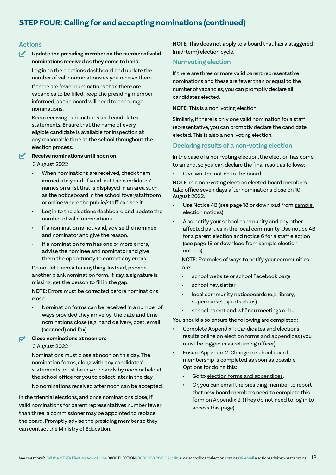# **STEP FOUR: Calling for and accepting nominations (continued)**

# **Actions**

### $\overline{\mathbf{v}}$ **Update the presiding member on the number of valid nominations received as they come to hand.**

Log in to the [elections dashboard](https://schoolboardelections.org.nz/Security/login?BackURL=%2Felections-dashboard%2F) and update the number of valid nominations as you receive them.

If there are fewer nominations than there are vacancies to be filled, keep the presiding member informed, as the board will need to encourage nominations.

Keep receiving nominations and candidates' statements. Ensure that the name of every eligible candidate is available for inspection at any reasonable time at the school throughout the election process.

# Receive nominations until noon on:

3 August 2022

- When nominations are received, check them immediately and, if valid, put the candidates' names on a list that is displayed in an area such as the noticeboard in the school foyer/staffroom or online where the public/staff can see it.
- Log in to the [elections dashboard](https://schoolboardelections.org.nz/Security/login?BackURL=%2Felections-dashboard%2F) and update the number of valid nominations.
- If a nomination is not valid, advise the nominee and nominator and give the reason.
- If a nomination form has one or more errors, advise the nominee and nominator and give them the opportunity to correct any errors.

Do not let them alter anything. Instead, provide another blank nomination form. If, say, a signature is missing, get the person to fill in the gap.

**NOTE:** Errors must be corrected before nominations close.

• Nomination forms can be received in a number of ways provided they arrive by the date and time nominations close (e.g. hand delivery, post, email (scanned) and fax).

### **Close nominations at noon on:**  $\overline{\mathbf{v}}$ 3 August 2022

Nominations must close at noon on this day. The nomination forms, along with any candidates' statements, must be in your hands by noon or held at the school office for you to collect later in the day.

No nominations received after noon can be accepted.

In the triennial elections, and once nominations close, if valid nominations for parent representatives number fewer than three, a commissioner may be appointed to replace the board. Promptly advise the presiding member so they can contact the Ministry of Education.

**NOTE:** This does not apply to a board that has a staggered (mid-term) election cycle.

# **Non-voting election**

If there are three or more valid parent representative nominations and these are fewer than or equal to the number of vacancies, you can promptly declare all candidates elected.

**NOTE:** This is a non-voting election.

Similarly, if there is only one valid nomination for a staff representative, you can promptly declare the candidate elected. This is also a non-voting election.

# **Declaring results of a non-voting election**

In the case of a non-voting election, the election has come to an end, so you can declare the final result as follows:

Give written notice to the board.

**NOTE:** in a non-voting election elected board members take office seven days after nominations close on 10 August 2022.

- Use Notice 4B (see page 18 or download from sample [election notices\)](https://www.schoolboardelections.org.nz/returning-officers/cover-notices-letters-and-declarations/sample-election-notices/).
- Also notify your school community and any other affected parties in the local community. Use notice 4B for a parent election and notice 6 for a staff election (see page 18 or download from [sample election](https://www.schoolboardelections.org.nz/returning-officers/cover-notices-letters-and-declarations/sample-election-notices/)  [notices\)](https://www.schoolboardelections.org.nz/returning-officers/cover-notices-letters-and-declarations/sample-election-notices/).

 **NOTE:** Examples of ways to notify your communities are:

- school website or school Facebook page
- school newsletter
- local community noticeboards (e.g. library, supermarket, sports clubs)
- school parent and whānau meetings or hui.

You should also ensure the following are completed:

- Complete Appendix 1: Candidates and elections results online on [election forms and appendices](https://www.schoolboardelections.org.nz/returning-officers/cover-notices-letters-and-declarations/election-forms-and-appendices/) (you must be logged in as returning officer).
- Ensure Appendix 2: Change in school board membership is completed as soon as possible. Options for doing this:
	- Go to [election forms and appendices](https://www.schoolboardelections.org.nz/returning-officers/cover-notices-letters-and-declarations/election-forms-and-appendices/).
	- Or, you can email the presiding member to report that new board members need to complete this form on [Appendix 2](https://www.schoolboardelections.org.nz/board-resources/election-forms-and-appendices/appendix-2/). (They do not need to log in to access this page).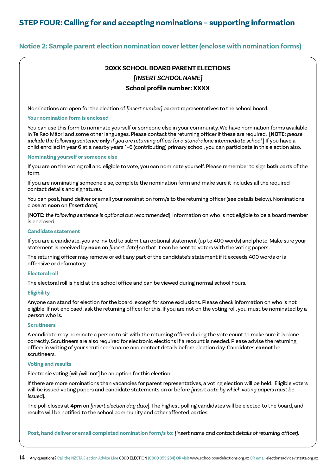**Notice 2: Sample parent election nomination cover letter (enclose with nomination forms)**

# **20XX SCHOOL BOARD PARENT ELECTIONS** *[INSERT SCHOOL NAME]* **School profile number: XXXX**

Nominations are open for the election of *[insert number]* parent representatives to the school board.

### **Your nomination form is enclosed**

You can use this form to nominate yourself or someone else in your community. We have nomination forms available in Te Reo Māori and some other languages. Please contact the returning officer if these are required. [**NOTE:** *please include the following sentence* **only** *if you are returning officer for a stand-alone intermediate school.*] If you have a child enrolled in year 6 at a nearby years 1–6 (contributing) primary school, you can participate in this election also.

### **Nominating yourself or someone else**

If you are on the voting roll and eligible to vote, you can nominate yourself. Please remember to sign **both** parts of the form.

If you are nominating someone else, complete the nomination form and make sure it includes all the required contact details and signatures.

You can post, hand deliver or email your nomination form/s to the returning officer (see details below). Nominations close at **noon** on *[insert date]*.

[**NOTE:** *the following sentence is optional but recommended*]*.* Information on who is not eligible to be a board member is enclosed.

# **Candidate statement**

If you are a candidate, you are invited to submit an optional statement (up to 400 words) and photo. Make sure your statement is received by **noon** on *[insert date]* so that it can be sent to voters with the voting papers.

The returning officer may remove or edit any part of the candidate's statement if it exceeds 400 words or is offensive or defamatory.

### **Electoral roll**

The electoral roll is held at the school office and can be viewed during normal school hours.

# **Eligibility**

Anyone can stand for election for the board, except for some exclusions. Please check information on who is not eligible. If not enclosed, ask the returning officer for this. If you are not on the voting roll, you must be nominated by a person who is.

# **Scrutineers**

A candidate may nominate a person to sit with the returning officer during the vote count to make sure it is done correctly. Scrutineers are also required for electronic elections if a recount is needed. Please advise the returning officer in writing of your scrutineer's name and contact details before election day. Candidates **cannot** be scrutineers.

# **Voting and results**

Electronic voting [will/will not] be an option for this election.

If there are more nominations than vacancies for parent representatives, a voting election will be held. Eligible voters will be issued voting papers and candidate statements on or before *[insert date by which voting papers must be issued]*.

The poll closes at **4pm** on *[insert election day date*]. The highest polling candidates will be elected to the board, and results will be notified to the school community and other affected parties.

**Post, hand deliver or email completed nomination form/s to:** *[insert name and contact details of returning officer]*.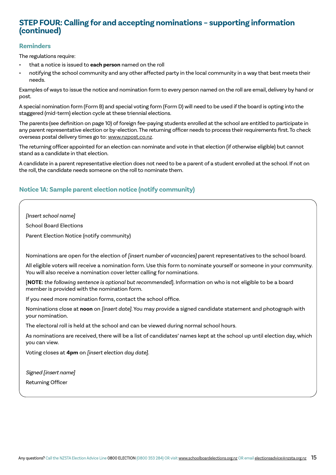# **STEP FOUR: Calling for and accepting nominations – supporting information (continued)**

# **Reminders**

The regulations require:

- that a notice is issued to **each person** named on the roll
- notifying the school community and any other affected party in the local community in a way that best meets their needs.

Examples of ways to issue the notice and nomination form to every person named on the roll are email, delivery by hand or post.

A special nomination form (Form B) and special voting form (Form D) will need to be used if the board is opting into the staggered (mid-term) election cycle at these triennial elections.

The parents (see definition on page 10) of foreign fee-paying students enrolled at the school are entitled to participate in any parent representative election or by-election. The returning officer needs to process their requirements first. To check overseas postal delivery times go to: [www.nzpost.co.nz.](https://www.nzpost.co.nz/)

The returning officer appointed for an election can nominate and vote in that election (if otherwise eligible) but cannot stand as a candidate in that election.

A candidate in a parent representative election does not need to be a parent of a student enrolled at the school. If not on the roll, the candidate needs someone on the roll to nominate them.

# **Notice 1A: Sample parent election notice (notify community)**

*[Insert school name]*

School Board Elections

Parent Election Notice (notify community)

Nominations are open for the election of *[insert number of vacancies]* parent representatives to the school board.

All eligible voters will receive a nomination form. Use this form to nominate yourself or someone in your community. You will also receive a nomination cover letter calling for nominations.

[**NOTE:** *the following sentence is optional but recommended*]*.* Information on who is not eligible to be a board member is provided with the nomination form.

If you need more nomination forms, contact the school office.

Nominations close at **noon** on *[insert date]*. You may provide a signed candidate statement and photograph with your nomination.

The electoral roll is held at the school and can be viewed during normal school hours.

As nominations are received, there will be a list of candidates' names kept at the school up until election day, which you can view.

Voting closes at **4pm** on *[insert election day date]*.

Signed [*insert name*] Returning Officer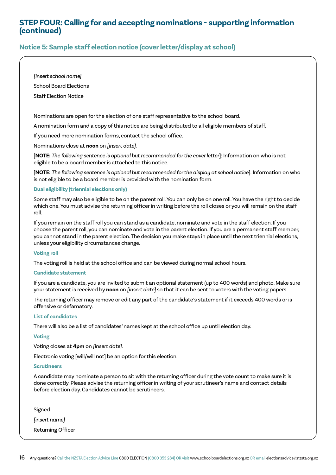# **STEP FOUR: Calling for and accepting nominations - supporting information (continued)**

# **Notice 5: Sample staff election notice (cover letter/display at school)**

*[Insert school name]*

School Board Elections

Staff Election Notice

Nominations are open for the election of one staff representative to the school board.

A nomination form and a copy of this notice are being distributed to all eligible members of staff.

If you need more nomination forms, contact the school office.

Nominations close at **noon** on *[insert date]*.

[**NOTE:** *The following sentence is optional but recommended for the cover letter*]: Information on who is not eligible to be a board member is attached to this notice.

[**NOTE:** *The following sentence is optional but recommended for the display at school notice*]. Information on who is not eligible to be a board member is provided with the nomination form.

# **Dual eligibility (triennial elections only)**

Some staff may also be eligible to be on the parent roll. You can only be on one roll. You have the right to decide which one. You must advise the returning officer in writing before the roll closes or you will remain on the staff roll.

If you remain on the staff roll you can stand as a candidate, nominate and vote in the staff election. If you choose the parent roll, you can nominate and vote in the parent election. If you are a permanent staff member, you cannot stand in the parent election. The decision you make stays in place until the next triennial elections, unless your eligibility circumstances change.

# **Voting roll**

The voting roll is held at the school office and can be viewed during normal school hours.

# **Candidate statement**

If you are a candidate, you are invited to submit an optional statement (up to 400 words) and photo. Make sure your statement is received by **noon** on *[insert date]* so that it can be sent to voters with the voting papers.

The returning officer may remove or edit any part of the candidate's statement if it exceeds 400 words or is offensive or defamatory.

### **List of candidates**

There will also be a list of candidates' names kept at the school office up until election day.

# **Voting**

Voting closes at **4pm** on *[insert date]*.

Electronic voting [will/will not] be an option for this election.

### **Scrutineers**

A candidate may nominate a person to sit with the returning officer during the vote count to make sure it is done correctly. Please advise the returning officer in writing of your scrutineer's name and contact details before election day. Candidates cannot be scrutineers.

Signed

*[insert name]*

Returning Officer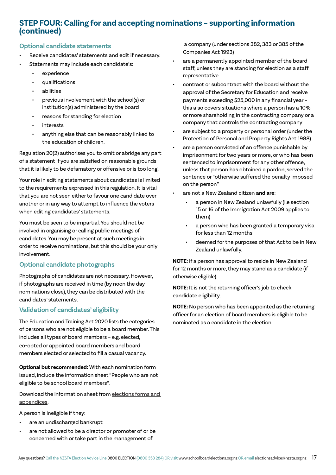# **STEP FOUR: Calling for and accepting nominations – supporting information (continued)**

# **Optional candidate statements**

- Receive candidates' statements and edit if necessary. Statements may include each candidate's:
	- experience
	- qualifications
	- abilities
	- previous involvement with the school(s) or institution(s) administered by the board
	- reasons for standing for election
	- interests
	- anything else that can be reasonably linked to the education of children.

Regulation 20(2) authorises you to omit or abridge any part of a statement if you are satisfied on reasonable grounds that it is likely to be defamatory or offensive or is too long.

Your role in editing statements about candidates is limited to the requirements expressed in this regulation. It is vital that you are not seen either to favour one candidate over another or in any way to attempt to influence the voters when editing candidates' statements.

You must be seen to be impartial. You should not be involved in organising or calling public meetings of candidates. You may be present at such meetings in order to receive nominations, but this should be your only involvement.

# **Optional candidate photographs**

Photographs of candidates are not necessary. However, if photographs are received in time (by noon the day nominations close), they can be distributed with the candidates' statements.

# **Validation of candidates' eligibility**

The Education and Training Act 2020 lists the categories of persons who are not eligible to be a board member. This includes all types of board members – e.g. elected, co-opted or appointed board members and board members elected or selected to fill a casual vacancy.

**Optional but recommended:** With each nomination form issued, include the information sheet "People who are not eligible to be school board members".

Download the information sheet from [elections forms and](https://www.schoolboardelections.org.nz/returning-officers/cover-notices-letters-and-declarations/election-forms-and-appendices/)  [appendices](https://www.schoolboardelections.org.nz/returning-officers/cover-notices-letters-and-declarations/election-forms-and-appendices/).

A person is ineligible if they:

- are an undischarged bankrupt
- are not allowed to be a director or promoter of or be concerned with or take part in the management of

 a company (under sections 382, 383 or 385 of the Companies Act 1993)

- are a permanently appointed member of the board staff, unless they are standing for election as a staff representative
- contract or subcontract with the board without the approval of the Secretary for Education and receive payments exceeding \$25,000 in any financial year – this also covers situations where a person has a 10% or more shareholding in the contracting company or a company that controls the contracting company
- are subject to a property or personal order (under the Protection of Personal and Property Rights Act 1988)
- are a person convicted of an offence punishable by imprisonment for two years or more, or who has been sentenced to imprisonment for any other offence, unless that person has obtained a pardon, served the sentence or "otherwise suffered the penalty imposed on the person"
- are not a New Zealand citizen **and are**:
	- a person in New Zealand unlawfully (i.e section 15 or 16 of the Immigration Act 2009 applies to them)
	- a person who has been granted a temporary visa for less than 12 months
	- deemed for the purposes of that Act to be in New Zealand unlawfully.

**NOTE:** If a person has approval to reside in New Zealand for 12 months or more, they may stand as a candidate (if otherwise eligible).

**NOTE:** It is not the returning officer's job to check candidate eligibility.

**NOTE:** No person who has been appointed as the returning officer for an election of board members is eligible to be nominated as a candidate in the election.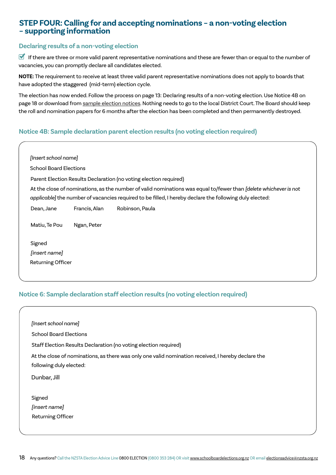# **STEP FOUR: Calling for and accepting nominations – a non-voting election – supporting information**

# **Declaring results of a non-voting election**

 $\overline{\phantom{a}}$  $\overline{\phantom{a}}$ 

If there are three or more valid parent representative nominations and these are fewer than or equal to the number of vacancies, you can promptly declare all candidates elected.

**NOTE:** The requirement to receive at least three valid parent representative nominations does not apply to boards that have adopted the staggered (mid-term) election cycle.

The election has now ended. Follow the process on page 13: Declaring results of a non-voting election. Use Notice 4B on page 18 or download from [sample election notices.](https://www.schoolboardelections.org.nz/returning-officers/cover-notices-letters-and-declarations/sample-election-notices/) Nothing needs to go to the local District Court. The Board should keep the roll and nomination papers for 6 months after the election has been completed and then permanently destroyed.

# **Notice 4B: Sample declaration parent election results (no voting election required)**

| [Insert school name]          |               |                                                                                                                                                                                                                             |
|-------------------------------|---------------|-----------------------------------------------------------------------------------------------------------------------------------------------------------------------------------------------------------------------------|
| <b>School Board Elections</b> |               |                                                                                                                                                                                                                             |
|                               |               | Parent Election Results Declaration (no voting election required)                                                                                                                                                           |
|                               |               | At the close of nominations, as the number of valid nominations was equal to/fewer than [delete whichever is not<br>applicable] the number of vacancies required to be filled, I hereby declare the following duly elected: |
| Dean, Jane                    | Francis, Alan | Robinson, Paula                                                                                                                                                                                                             |
| Matiu, Te Pou                 | Ngan, Peter   |                                                                                                                                                                                                                             |
| Signed                        |               |                                                                                                                                                                                                                             |
| [insert name]                 |               |                                                                                                                                                                                                                             |
| Returning Officer             |               |                                                                                                                                                                                                                             |

# **Notice 6: Sample declaration staff election results (no voting election required)**

| [Insert school name]                                                                               |  |
|----------------------------------------------------------------------------------------------------|--|
| <b>School Board Elections</b>                                                                      |  |
| Staff Election Results Declaration (no voting election required)                                   |  |
| At the close of nominations, as there was only one valid nomination received, I hereby declare the |  |
| following duly elected:                                                                            |  |
| Dunbar, Jill                                                                                       |  |
|                                                                                                    |  |
| Signed                                                                                             |  |
| [insert name]                                                                                      |  |
| <b>Returning Officer</b>                                                                           |  |
|                                                                                                    |  |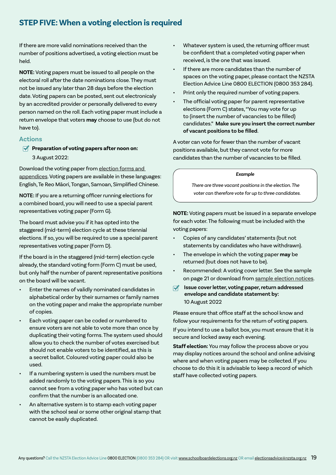# **STEP FIVE: When a voting election is required**

If there are more valid nominations received than the number of positions advertised, a voting election must be held.

**NOTE:** Voting papers must be issued to all people on the electoral roll after the date nominations close. They must not be issued any later than 28 days before the election date. Voting papers can be posted, sent out electronicaly by an accredited provider or personally delivered to every person named on the roll. Each voting paper must include a return envelope that voters **may** choose to use (but do not have to).

# **Actions**

**Preparation of voting papers after noon on:** 3 August 2022:

Download the voting paper from [election forms and](https://www.schoolboardelections.org.nz/returning-officers/cover-notices-letters-and-declarations/election-forms-and-appendices/)  [appendices](https://www.schoolboardelections.org.nz/returning-officers/cover-notices-letters-and-declarations/election-forms-and-appendices/). Voting papers are available in these languages: English, Te Reo Māori, Tongan, Samoan, Simplified Chinese.

**NOTE:** If you are a returning officer running elections for a combined board, you will need to use a special parent representatives voting paper (Form G).

The board must advise you if it has opted into the staggered (mid-term) election cycle at these triennial elections. If so, you will be required to use a special parent representatives voting paper (Form D).

If the board is in the staggered (mid-term) election cycle already, the standard voting form (Form C) must be used, but only half the number of parent representative positions on the board will be vacant.

- Enter the names of validly nominated candidates in alphabetical order by their surnames or family names on the voting paper and make the appropriate number of copies.
- Each voting paper can be coded or numbered to ensure voters are not able to vote more than once by duplicating their voting forms. The system used should allow you to check the number of votes exercised but should not enable voters to be identified, as this is a secret ballot. Coloured voting paper could also be used.
- If a numbering system is used the numbers must be added randomly to the voting papers. This is so you cannot see from a voting paper who has voted but can confirm that the number is an allocated one.
- An alternative system is to stamp each voting paper with the school seal or some other original stamp that cannot be easily duplicated.
- Whatever system is used, the returning officer must be confident that a completed voting paper when received, is the one that was issued.
- If there are more candidates than the number of spaces on the voting paper, please contact the NZSTA Election Advice Line 0800 ELECTION (0800 353 284).
- Print only the required number of voting papers.
- The official voting paper for parent representative elections (Form C) states, "You may vote for up to (insert the number of vacancies to be filled) candidates." **Make sure you insert the correct number of vacant positions to be filled**.

A voter can vote for fewer than the number of vacant positions available, but they cannot vote for more candidates than the number of vacancies to be filled.

### *Example*

 *There are three vacant positions in the election. The voter can therefore vote for up to three candidates.*

**NOTE:** Voting papers must be issued in a separate envelope for each voter. The following must be included with the voting papers:

- Copies of any candidates' statements (but not statements by candidates who have withdrawn).
- The envelope in which the voting paper **may** be returned (but does not have to be).
- Recommended: A voting cover letter. See the sample on page 21 or download from [sample election notices](https://www.schoolboardelections.org.nz/returning-officers/cover-notices-letters-and-declarations/sample-election-notices/).
- **Issue cover letter, voting paper, return addressed envelope and candidate statement by:** 10 August 2022

Please ensure that office staff at the school know and follow your requirements for the return of voting papers.

If you intend to use a ballot box, you must ensure that it is secure and locked away each evening.

**Staff election:** You may follow the process above or you may display notices around the school and online advising where and when voting papers may be collected. If you choose to do this it is advisable to keep a record of which staff have collected voting papers.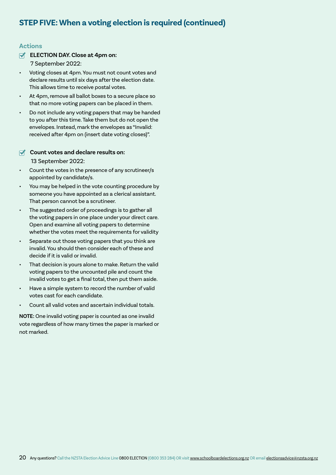# **STEP FIVE: When a voting election is required (continued)**

# **Actions**

**ELECTION DAY. Close at 4pm on:** 

7 September 2022:

- Voting closes at 4pm. You must not count votes and declare results until six days after the election date. This allows time to receive postal votes.
- At 4pm, remove all ballot boxes to a secure place so that no more voting papers can be placed in them.
- Do not include any voting papers that may be handed to you after this time. Take them but do not open the envelopes. Instead, mark the envelopes as "Invalid: received after 4pm on (insert date voting closes)".

# **Count votes and declare results on:** 13 September 2022:

- Count the votes in the presence of any scrutineer/s appointed by candidate/s.
- You may be helped in the vote counting procedure by someone you have appointed as a clerical assistant. That person cannot be a scrutineer.
- The suggested order of proceedings is to gather all the voting papers in one place under your direct care. Open and examine all voting papers to determine whether the votes meet the requirements for validity
- Separate out those voting papers that you think are invalid. You should then consider each of these and decide if it is valid or invalid.
- That decision is yours alone to make. Return the valid voting papers to the uncounted pile and count the invalid votes to get a final total, then put them aside.
- Have a simple system to record the number of valid votes cast for each candidate.
- Count all valid votes and ascertain individual totals.

**NOTE:** One invalid voting paper is counted as one invalid vote regardless of how many times the paper is marked or not marked.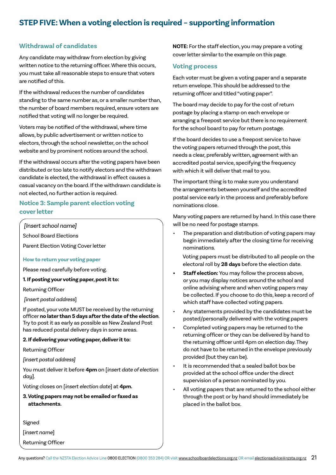# **STEP FIVE: When a voting election is required – supporting information**

# **Withdrawal of candidates**

Any candidate may withdraw from election by giving written notice to the returning officer. Where this occurs, you must take all reasonable steps to ensure that voters are notified of this.

If the withdrawal reduces the number of candidates standing to the same number as, or a smaller number than, the number of board members required, ensure voters are notified that voting will no longer be required.

Voters may be notified of the withdrawal, where time allows, by public advertisement or written notice to electors, through the school newsletter, on the school website and by prominent notices around the school.

If the withdrawal occurs after the voting papers have been distributed or too late to notify electors and the withdrawn candidate is elected, the withdrawal in effect causes a casual vacancy on the board. If the withdrawn candidate is not elected, no further action is required.

# **Notice 3: Sample parent election voting cover letter**

*[Insert school name]*

School Board Elections

Parent Election Voting Cover letter

### **How to return your voting paper**

Please read carefully before voting.

**1. If posting your voting paper, post it to:**

Returning Officer

 *[insert postal address*]

If posted, your vote MUST be received by the returning officer **no later than 5 days after the date of the election**. Try to post it as early as possible as New Zealand Post has reduced postal delivery days in some areas.

# **2. If delivering your voting paper, deliver it to:**

Returning Officer

*[insert postal address]*

You must deliver it before **4pm** on [*insert date of election day*].

Voting closes on [*insert election date*] at **4pm.**

**3. Voting papers may not be emailed or faxed as attachments.**

Signed

[*insert name*]

Returning Officer

**NOTE:** For the staff election, you may prepare a voting cover letter similar to the example on this page.

# **Voting process**

Each voter must be given a voting paper and a separate return envelope. This should be addressed to the returning officer and titled "voting paper".

The board may decide to pay for the cost of return postage by placing a stamp on each envelope or arranging a freepost service but there is no requirement for the school board to pay for return postage.

If the board decides to use a freepost service to have the voting papers returned through the post, this needs a clear, preferably written, agreement with an accredited postal service, specifying the frequency with which it will deliver that mail to you.

The important thing is to make sure you understand the arrangements between yourself and the accredited postal service early in the process and preferably before nominations close.

Many voting papers are returned by hand. In this case there will be no need for postage stamps.

The preparation and distribution of voting papers may begin immediately after the closing time for receiving nominations.

 Voting papers must be distributed to all people on the electoral roll by **28 days** before the election date.

- **• Staff election:** You may follow the process above, or you may display notices around the school and online advising where and when voting papers may be collected. If you choose to do this, keep a record of which staff have collected voting papers.
- Any statements provided by the candidates must be posted/personally delivered with the voting papers
- Completed voting papers may be returned to the returning officer or they can be delivered by hand to the returning officer until 4pm on election day. They do not have to be returned in the envelope previously provided (but they can be).
- It is recommended that a sealed ballot box be provided at the school office under the direct supervision of a person nominated by you.
- All voting papers that are returned to the school either through the post or by hand should immediately be placed in the ballot box.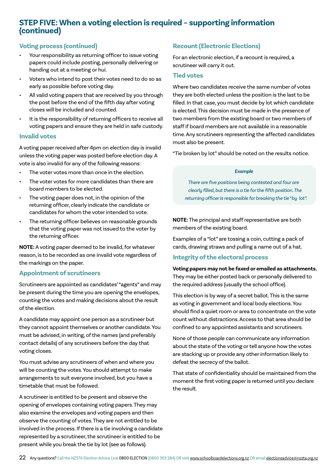# **STEP FIVE: When a voting election is required – supporting information (continued)**

# **Voting process (continued)**

- Your responsibility as returning officer to issue voting papers could include posting, personally delivering or handing out at a meeting or hui.
- Voters who intend to post their votes need to do so as early as possible before voting day.
- All valid voting papers that are received by you through the post before the end of the fifth day after voting closes will be included and counted.
- It is the responsibility of returning officers to receive all voting papers and ensure they are held in safe custody.

# **Invalid votes**

A voting paper received after 4pm on election day is invalid unless the voting paper was posted before election day. A vote is also invalid for any of the following reasons:

- The voter votes more than once in the election.
- The voter votes for more candidates than there are board members to be elected.
- The voting paper does not, in the opinion of the returning officer, clearly indicate the candidate or candidates for whom the voter intended to vote.
- The returning officer believes on reasonable grounds that the voting paper was not issued to the voter by the returning officer.

**NOTE:** A voting paper deemed to be invalid, for whatever reason, is to be recorded as one invalid vote regardless of the markings on the paper.

# **Appointment of scrutineers**

Scrutineers are appointed as candidates' "agents" and may be present during the time you are opening the envelopes, counting the votes and making decisions about the result of the election.

A candidate may appoint one person as a scrutineer but they cannot appoint themselves or another candidate. You must be advised, in writing, of the names (and preferably contact details) of any scrutineers before the day that voting closes.

You must advise any scrutineers of when and where you will be counting the votes. You should attempt to make arrangements to suit everyone involved, but you have a timetable that must be followed.

A scrutineer is entitled to be present and observe the opening of envelopes containing voting papers. They may also examine the envelopes and voting papers and then observe the counting of votes. They are not entitled to be involved in the process. If there is a tie involving a candidate represented by a scrutineer, the scrutineer is entitled to be present while you break the tie by lot (see as follows).

# **Recount (Electronic Elections)**

For an electronic election, if a recount is required, a scrutineer will carry it out.

# **Tied votes**

Where two candidates receive the same number of votes they are both elected unless the position is the last to be filled. In that case, you must decide by lot which candidate is elected. This decision must be made in the presence of two members from the existing board or two members of staff if board members are not available in a reasonable time. Any scrutineers representing the affected candidates must also be present.

"Tie broken by lot" should be noted on the results notice.

# *Example*

 *There are five positions being contested and four are clearly filled, but there is a tie for the fifth position. The returning officer is responsible for breaking the tie "by lot".*

**NOTE:** The principal and staff representative are both members of the existing board.

Examples of a "lot" are tossing a coin, cutting a pack of cards, drawing straws and pulling a name out of a hat.

# **Integrity of the electoral process**

**Voting papers may not be faxed or emailed as attachments.**  They may be either posted back or personally delivered to the required address (usually the school office).

This election is by way of a secret ballot. This is the same as voting in government and local body elections. You should find a quiet room or area to concentrate on the vote count without distractions. Access to that area should be confined to any appointed assistants and scrutineers.

None of those people can communicate any information about the state of the voting or tell anyone how the votes are stacking up or provide any other information likely to defeat the secrecy of the ballot.

That state of confidentiality should be maintained from the moment the first voting paper is returned until you declare the result.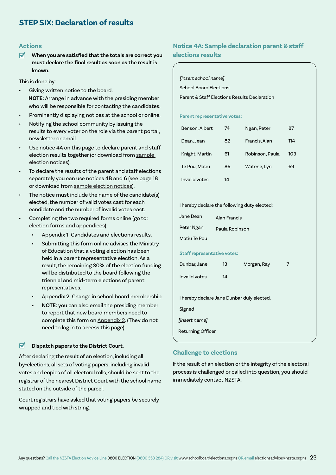# **Actions**

**When you are satisfied that the totals are correct you**   $\overline{\mathbf{M}}$ **must declare the final result as soon as the result is known.**

This is done by:

- Giving written notice to the board. **NOTE:** Arrange in advance with the presiding member who will be responsible for contacting the candidates.
- Prominently displaying notices at the school or online.
- Notifying the school community by issuing the results to every voter on the role via the parent portal, newsletter or email.
- Use notice 4A on this page to declare parent and staff election results together (or download from sample [election notices](https://www.schoolboardelections.org.nz/returning-officers/cover-notices-letters-and-declarations/sample-election-notices/)).
- To declare the results of the parent and staff elections separately you can use notices 4B and 6 (see page 18 or download from [sample election notices\)](https://www.schoolboardelections.org.nz/returning-officers/cover-notices-letters-and-declarations/sample-election-notices/).
- The notice must include the name of the candidate(s) elected, the number of valid votes cast for each candidate and the number of invalid votes cast.
- Completing the two required forms online (go to: [election forms and appendices](https://www.schoolboardelections.org.nz/returning-officers/cover-notices-letters-and-declarations/election-forms-and-appendices/)):
	- Appendix 1: Candidates and elections results.
	- Submitting this form online advises the Ministry of Education that a voting election has been held in a parent representative election. As a result, the remaining 30% of the election funding will be distributed to the board following the triennial and mid-term elections of parent representatives.
	- Appendix 2: Change in school board membership.
	- **• NOTE:** you can also email the presiding member to report that new board members need to complete this form on [Appendix 2.](https://www.schoolboardelections.org.nz/board-resources/election-forms-and-appendices/appendix-2/) (They do not need to log in to access this page).

### $\blacktriangledown$ **Dispatch papers to the District Court.**

After declaring the result of an election, including all by-elections, all sets of voting papers, including invalid votes and copies of all electoral rolls, should be sent to the registrar of the nearest District Court with the school name stated on the outside of the parcel.

Court registrars have asked that voting papers be securely wrapped and tied with string.

# **Notice 4A: Sample declaration parent & staff elections results**

[Insert school name]

School Board Elections

Parent & Staff Elections Results Declaration

**Parent representative votes:**

| Benson, Albert | 74 | Ngan, Peter     | 87  |
|----------------|----|-----------------|-----|
| Dean, Jean     | 82 | Francis, Alan   | 114 |
| Knight, Martin | 61 | Robinson, Paula | 103 |
| Te Pou, Matiu  | 86 | Watene, Lyn     | 69  |
| Invalid votes  | 14 |                 |     |

I hereby declare the following duty elected:

| Jane Dean    | Alan Francis   |
|--------------|----------------|
| Peter Ngan   | Paula Robinson |
| Matiu Te Pou |                |

**Staff representative votes:**

| Dunbar, Jane                               | 13 | Morgan, Ray | 7 |  |  |
|--------------------------------------------|----|-------------|---|--|--|
| Invalid votes                              | 14 |             |   |  |  |
|                                            |    |             |   |  |  |
| I hereby declare Jane Dunbar duly elected. |    |             |   |  |  |
| Signed                                     |    |             |   |  |  |
| <i>linsert namel</i>                       |    |             |   |  |  |
| <b>Returning Officer</b>                   |    |             |   |  |  |
|                                            |    |             |   |  |  |

# **Challenge to elections**

If the result of an election or the integrity of the electoral process is challenged or called into question, you should immediately contact NZSTA.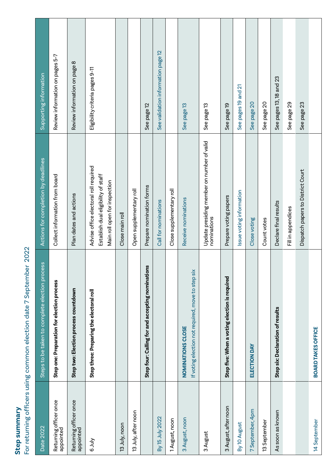For returning officers using common election date 7 September 2022 For returning officers using common election date 7 September 2022

| Date 2022                           | Steps to be taken to complete election process                         | Actions for completion by deadlines                                                                           | Supporting information             |
|-------------------------------------|------------------------------------------------------------------------|---------------------------------------------------------------------------------------------------------------|------------------------------------|
| Returning officer once<br>appointed | Step one: Preparation for election process                             | Collect information from board                                                                                | Review information on pages 5-7    |
| Returning officer once<br>appointed | Step two: Election process countdown                                   | Plan dates and actions                                                                                        | Review information on page 8       |
| VIIL <sub>9</sub>                   | Step three: Preparing the electoral roll                               | Advise office electoral roll required<br>Establish dual eligibility of staff<br>Main roll open for inspection | Eligibility criteria pages 9-11    |
| 13 July, noon                       |                                                                        | Close main roll                                                                                               |                                    |
| 13 July, after noon                 |                                                                        | Open supplementary roll                                                                                       |                                    |
|                                     | Step four: Calling for and accepting nominations                       | Prepare nomination forms                                                                                      | See page 12                        |
| By 15 July 2022                     |                                                                        | Call for nominations                                                                                          | See validation information page 12 |
| 1 August, noon                      |                                                                        | Close supplementary roll                                                                                      |                                    |
| 3 August, noon                      | If voting election not required, move to step six<br>NOMINATIONS CLOSE | Receive nominations                                                                                           | See page 13                        |
| 3 August                            |                                                                        | Update presiding member on number of valid<br>nominations                                                     | See page 13                        |
| 3 August, after noon                | Step five: When a voting election is required                          | Prepare voting papers                                                                                         | See page 19                        |
| By 10 August                        |                                                                        | Issue voting information                                                                                      | See pages 19 and 21                |
| 7 September, 4pm                    | ELECTION DAY                                                           | Close voting                                                                                                  | See page 20                        |
| 13 September                        |                                                                        | Count votes                                                                                                   | See page 20                        |
| As soon as known                    | Step six: Declaration of results                                       | Declare final results                                                                                         | See pages 13, 18 and 23            |
|                                     |                                                                        | Fill in appendices                                                                                            | See page 29                        |
|                                     |                                                                        | Dispatch papers to District Court                                                                             | See page 23                        |
| 14 September                        | <b>BOARD TAKES OFFICE</b>                                              |                                                                                                               |                                    |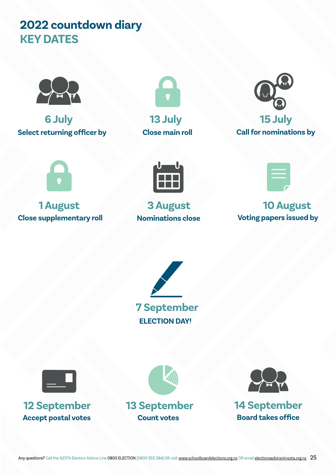# **2022 countdown diary KEY DATES**



**6 July 13 July 15 July Select returning officer by Close main roll Call for nominations by**







**Close supplementary roll by a Nominations close by a Voting papers issued by** 





# **1 August 3 August 10 August**





Accept postal votes **Count votes Board takes office** 





**12 September 13 September 14 September**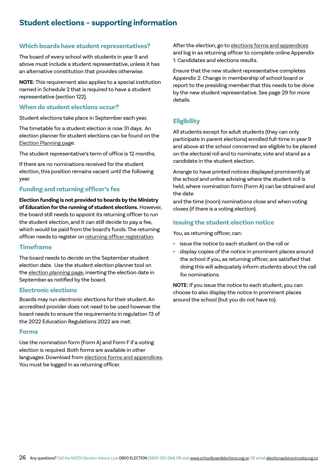# **Student elections – supporting information**

# **Which boards have student representatives?**

The board of every school with students in year 9 and above must include a student representative, unless it has an alternative constitution that provides otherwise.

**NOTE:** This requirement also applies to a special institution named in Schedule 2 that is required to have a student representative (section 122).

# **When do student elections occur?**

Student elections take place in September each year.

The timetable for a student election is now 31 days. An election planner for student elections can be found on the [Election Planning page](https://www.schoolboardelections.org.nz/board-resources/election-planning/).

The student representative's term of office is 12 months.

If there are no nominations received for the student election, this position remains vacant until the following year.

# **Funding and returning officer's fee**

**Election funding is not provided to boards by the Ministry of Education for the running of student elections.** However, the board still needs to appoint its returning officer to run the student election, and it can still decide to pay a fee, which would be paid from the board's funds. The returning officer needs to register on [returning officer registration.](https://www.schoolboardelections.org.nz/returning-officers/returning-officer-registration/)

# **Timeframe**

The board needs to decide on the September student election date. Use the student election planner tool on the [election planning](https://www.schoolboardelections.org.nz/board-resources/election-planning/) page, inserting the election date in September as notified by the board.

# **Electronic elections**

Boards may run electronic elections for their student. An accredited provider does not need to be used however the board needs to ensure the requirements in regulation 13 of the 2022 Education Regulations 2022 are met.

# **Forms**

Use the nomination form (Form A) and Form F if a voting election is required. Both forms are available in other languages. Download from [elections forms and appendices](https://www.schoolboardelections.org.nz/returning-officers/cover-notices-letters-and-declarations/election-forms-and-appendices/). You must be logged in as returning officer.

After the election, go to [elections forms and appendices](https://www.schoolboardelections.org.nz/returning-officers/cover-notices-letters-and-declarations/election-forms-and-appendices/) and log in as returning officer to complete online Appendix 1: Candidates and elections results.

Ensure that the new student representative completes Appendix 2: Change in membership of school board or report to the presiding member that this needs to be done by the new student representative. See page 29 for more details.

# **Eligibility**

All students except for adult students (they can only participate in parent elections) enrolled full-time in year 9 and above at the school concerned are eligible to be placed on the electoral roll and to nominate, vote and stand as a candidate in the student election.

Arrange to have printed notices displayed prominently at the school and online advising where the student roll is held, where nomination form (Form A) can be obtained and the date

and the time (noon) nominations close and when voting closes (if there is a voting election).

# **Issuing the student election notice**

You, as returning officer, can:

- issue the notice to each student on the roll or
- display copies of the notice in prominent places around the school if you, as returning officer, are satisfied that doing this will adequately inform students about the call for nominations.

**NOTE:** If you issue the notice to each student, you can choose to also display the notice in prominent places around the school (but you do not have to).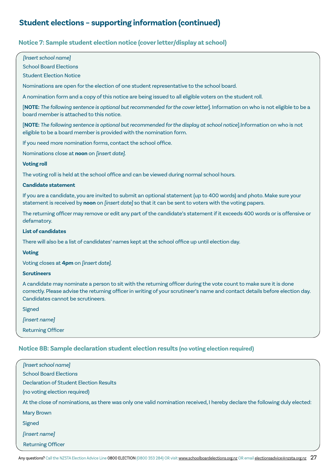# **Student elections – supporting information (continued)**

# **Notice 7: Sample student election notice (cover letter/display at school)**

# *[Insert school name]*

School Board Elections

# Student Election Notice

Nominations are open for the election of one student representative to the school board.

A nomination form and a copy of this notice are being issued to all eligible voters on the student roll.

[**NOTE:** *The following sentence is optional but recommended for the cover letter*]. Information on who is not eligible to be a board member is attached to this notice.

[**NOTE:** *The following sentence is optional but recommended for the display at school notice*].Information on who is not eligible to be a board member is provided with the nomination form.

If you need more nomination forms, contact the school office.

Nominations close at **noon** on *[insert date]*.

# **Voting roll**

The voting roll is held at the school office and can be viewed during normal school hours.

# **Candidate statement**

If you are a candidate, you are invited to submit an optional statement (up to 400 words) and photo. Make sure your statement is received by **noon** on *[insert date]* so that it can be sent to voters with the voting papers.

The returning officer may remove or edit any part of the candidate's statement if it exceeds 400 words or is offensive or defamatory.

# **List of candidates**

There will also be a list of candidates' names kept at the school office up until election day.

# **Voting**

Voting closes at **4pm** on *[insert date]*.

### **Scrutineers**

A candidate may nominate a person to sit with the returning officer during the vote count to make sure it is done correctly. Please advise the returning officer in writing of your scrutineer's name and contact details before election day. Candidates cannot be scrutineers.

Signed

[insert name]

Returning Officer

# **Notice 8B: Sample declaration student election results (no voting election required)**

| [Insert school name]                                                                                                       |
|----------------------------------------------------------------------------------------------------------------------------|
| <b>School Board Elections</b>                                                                                              |
| Declaration of Student Election Results                                                                                    |
| (no voting election required)                                                                                              |
| At the close of nominations, as there was only one valid nomination received, I hereby declare the following duly elected: |
| <b>Mary Brown</b>                                                                                                          |
| Signed                                                                                                                     |
| <i>[insert name]</i>                                                                                                       |
| <b>Returning Officer</b>                                                                                                   |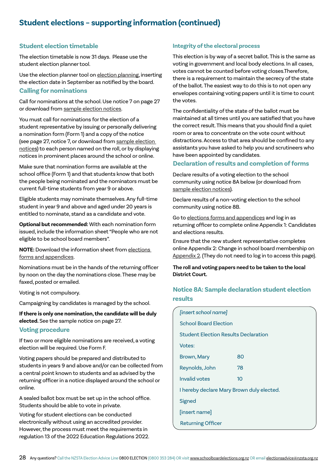# **Student elections – supporting information (continued)**

# **Student election timetable**

The election timetable is now 31 days. Please use the student election planner tool.

Use the election planner tool on [election planning,](https://schoolboardelections.org.nz/board-resources/election-planning/) inserting the election date in September as notified by the board. **Calling for nominations**

Call for nominations at the school. Use notice 7 on page 27 or download from [sample election notices.](https://www.schoolboardelections.org.nz/returning-officers/cover-notices-letters-and-declarations/sample-election-notices/)

You must call for nominations for the election of a student representative by issuing or personally delivering a nomination form (Form 1) and a copy of the notice (see page 27, notice 7, or download from [sample election](https://www.schoolboardelections.org.nz/returning-officers/cover-notices-letters-and-declarations/sample-election-notices/)  [notice](https://www.schoolboardelections.org.nz/returning-officers/cover-notices-letters-and-declarations/sample-election-notices/)s) to each person named on the roll, or by displaying notices in prominent places around the school or online.

Make sure that nomination forms are available at the school office (Form 1) and that students know that both the people being nominated and the nominators must be current full-time students from year 9 or above.

Eligible students may nominate themselves. Any full-time student in year 9 and above and aged under 20 years is entitled to nominate, stand as a candidate and vote.

**Optional but recommended:** With each nomination form issued, include the information sheet "People who are not eligible to be school board members".

**NOTE:** Download the information sheet from [elections](https://www.schoolboardelections.org.nz/returning-officers/cover-notices-letters-and-declarations/election-forms-and-appendices/)  [forms and appendices](https://www.schoolboardelections.org.nz/returning-officers/cover-notices-letters-and-declarations/election-forms-and-appendices/)[.](https://www.trustee-election.co.nz/assets/3079a1b95e/People-who-are-not-eligible-to-be-school-board-)

Nominations must be in the hands of the returning officer by noon on the day the nominations close. These may be faxed, posted or emailed.

Voting is not compulsory.

Campaigning by candidates is managed by the school.

**If there is only one nomination, the candidate will be duly** 

**elected.** See the sample notice on page 27.

# **Voting procedure**

If two or more eligible nominations are received, a voting election will be required. Use Form F.

Voting papers should be prepared and distributed to students in years 9 and above and/or can be collected from a central point known to students and as advised by the returning officer in a notice displayed around the school or online.

A sealed ballot box must be set up in the school office. Students should be able to vote in private.

Voting for student elections can be conducted electronically without using an accredited provider. However, the process must meet the requirements in regulation 13 of the 2022 Education Regulations 2022.

# **Integrity of the electoral process**

This election is by way of a secret ballot. This is the same as voting in government and local body elections. In all cases, votes cannot be counted before voting closes.Therefore, there is a requirement to maintain the secrecy of the state of the ballot. The easiest way to do this is to not open any envelopes containing voting papers until it is time to count the votes.

The confidentiality of the state of the ballot must be maintained at all times until you are satisfied that you have the correct result. This means that you should find a quiet room or area to concentrate on the vote count without distractions. Access to that area should be confined to any assistants you have asked to help you and scrutineers who have been appointed by candidates.

# **Declaration of results and completion of forms**

Declare results of a voting election to the school community using notice 8A below (or download from [sample election notices\)](https://www.schoolboardelections.nz/returning-officers/cover-notices-letters-and-declarations/sample-election-notices/).

Declare results of a non-voting election to the school community using notice 8B.

Go to [elections forms and appendices](https://www.schoolboardelections.org.nz/returning-officers/cover-notices-letters-and-declarations/election-forms-and-appendices/) and log in as returning officer to complete online Appendix 1: Candidates and elections results.

Ensure that the new student representative completes online Appendix 2: Change in school board membership on [Appendix 2]( https://www.schoolboardelections.org.nz/board-resources/election-forms-and-appendices/appendix-2/). (They do not need to log in to access this page).

**The roll and voting papers need to be taken to the local District Court.**

# **Notice 8A: Sample declaration student election results**

| [insert school name]                      |    |  |
|-------------------------------------------|----|--|
| <b>School Board Election</b>              |    |  |
| Student Election Results Declaration      |    |  |
| Votes:                                    |    |  |
| <b>Brown, Mary</b>                        | 80 |  |
| Reynolds, John                            | 78 |  |
| Invalid votes                             | 10 |  |
| I hereby declare Mary Brown duly elected. |    |  |
| Signed                                    |    |  |
| [insert name]                             |    |  |
| <b>Returning Officer</b>                  |    |  |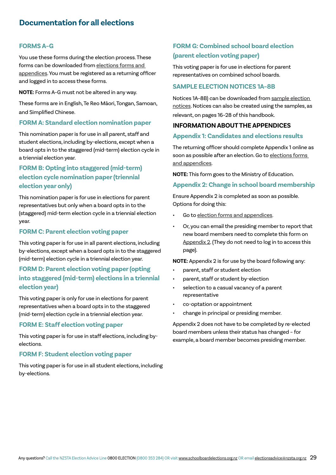# **FORMS A–G**

You use these forms during the election process. These forms can be downloaded from [elections forms and](https://www.schoolboardelections.org.nz/returning-officers/cover-notices-letters-and-declarations/election-forms-and-appendices/)  [appendices.](https://www.schoolboardelections.org.nz/returning-officers/cover-notices-letters-and-declarations/election-forms-and-appendices/) You must be registered as a returning officer and logged in to access these forms.

**NOTE:** Forms A–G must not be altered in any way.

These forms are in English, Te Reo Māori, Tongan, Samoan, and Simplified Chinese.

# **FORM A: Standard election nomination paper**

This nomination paper is for use in all parent, staff and student elections, including by-elections, except when a board opts in to the staggered (mid-term) election cycle in a triennial election year.

# **FORM B: Opting into staggered (mid-term) election cycle nomination paper (triennial election year only)**

This nomination paper is for use in elections for parent representatives but only when a board opts in to the (staggered) mid-term election cycle in a triennial election year.

# **FORM C: Parent election voting paper**

This voting paper is for use in all parent elections, including by-elections, except when a board opts in to the staggered (mid-term) election cycle in a triennial election year.

# **FORM D: Parent election voting paper (opting into staggered (mid-term) elections in a triennial election year)**

This voting paper is only for use in elections for parent representatives when a board opts in to the staggered (mid-term) election cycle in a triennial election year.

# **FORM E: Staff election voting paper**

This voting paper is for use in staff elections, including byelections.

# **FORM F: Student election voting paper**

This voting paper is for use in all student elections, including by-elections.

# **FORM G: Combined school board election (parent election voting paper)**

This voting paper is for use in elections for parent representatives on combined school boards.

# **SAMPLE ELECTION NOTICES 1A–8B**

Notices 1A–8B) can be downloaded from [sample election](https://www.schoolboardelections.org.nz/returning-officers/cover-notices-letters-and-declarations/sample-election-notices/)  [notices.](https://www.schoolboardelections.org.nz/returning-officers/cover-notices-letters-and-declarations/sample-election-notices/) Notices can also be created using the samples, as relevant, on pages 16–28 of this handbook.

# **INFORMATION ABOUT THE APPENDICES**

# **Appendix 1: Candidates and elections results**

The returning officer should complete Appendix 1 online as soon as possible after an election. Go to elections forms [and appendices.](https://www.schoolboardelections.org.nz/returning-officers/cover-notices-letters-and-declarations/election-forms-and-appendices/)

**NOTE:** This form goes to the Ministry of Education.

# **Appendix 2: Change in school board membership**

Ensure Appendix 2 is completed as soon as possible. Options for doing this:

- Go to [election forms and appendices](https://www.schoolboardelections.org.nz/returning-officers/cover-notices-letters-and-declarations/election-forms-and-appendices/).
- Or, you can email the presiding member to report that new board members need to complete this form on [Appendix 2](https://www.schoolboardelections.org.nz/board-resources/election-forms-and-appendices/appendix-2/). (They do not need to log in to access this page).

**NOTE:** Appendix 2 is for use by the board following any:

- parent, staff or student election
- parent, staff or student by-election
- selection to a casual vacancy of a parent representative
- co-optation or appointment
- change in principal or presiding member.

Appendix 2 does not have to be completed by re-elected board members unless their status has changed – for example, a board member becomes presiding member.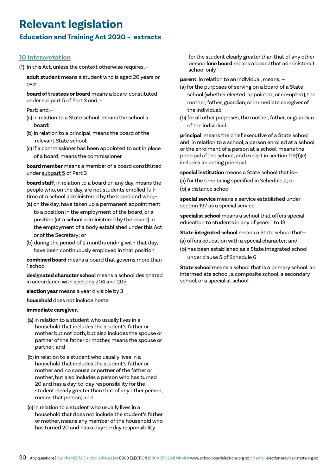# **Relevant legislation**

# **[Education and Training Act 2020](https://www.legislation.govt.nz/act/public/2020/0038/latest/LMS170676.html) – extracts**

# **[10 Interpretation](https://www.legislation.govt.nz/act/public/2020/0038/latest/LMS171311.html)**

(1) In this Act, unless the context otherwise requires, –

**adult student** means a student who is aged 20 years or over

**board of trustees or board** means a board constituted under [subpart 5](https://www.legislation.govt.nz/act/public/2020/0038/latest/whole.html?search=qs_act%40bill%40regulation%40deemedreg_education+and+training+act_resel_25_h&p=1#LMS171675) of Part 3 and, -

Part; and,—

- (a) in relation to a State school, means the school's board:
- (b) in relation to a principal, means the board of the relevant State school:
- (c) if a commissioner has been appointed to act in place of a board, means the commissioner

**board member** means a member of a board constituted under [subpart 5](https://www.legislation.govt.nz/act/public/2020/0038/latest/link.aspx?search=sw_096be8ed81ae676c_principal_25_se&p=1&id=LMS171675#LMS171675) of Part 3

**board staff**, in relation to a board on any day, means the people who, on the day, are not students enrolled fulltime at a school administered by the board and who,—

- (a) on the day, have taken up a permanent appointment to a position in the employment of the board, or a position (at a school administered by the board) in the employment of a body established under this Act or of the Secretary; or
- (b) during the period of 2 months ending with that day, have been continuously employed in that position

**combined board** means a board that governs more than 1 school

**designated character school** means a school designated in accordance with [sections 204](https://www.legislation.govt.nz/act/public/2020/0038/latest/LMS278599.html?search=sw_096be8ed81ae676c_principal_25_se&p=1#LMS278599) and [205](https://www.legislation.govt.nz/act/public/2020/0038/latest/LMS278600.html?search=sw_096be8ed81ae676c_principal_25_se&p=1#LMS278600)

**election year** means a year divisible by 3

**household** does not include hostel

# **immediate caregiver**, –

- (a) in relation to a student who usually lives in a household that includes the student's father or mother but not both, but also includes the spouse or partner of the father or mother, means the spouse or partner; and
- (b) in relation to a student who usually lives in a household that includes the student's father or mother and no spouse or partner of the father or mother, but also includes a person who has turned 20 and has a day-to-day responsibility for the student clearly greater than that of any other person, means that person; and
- (c) in relation to a student who usually lives in a household that does not include the student's father or mother, means any member of the household who has turned 20 and has a day-to-day responsibility

for the student clearly greater than that of any other person **lone board** means a board that administers 1 school only

**parent**, in relation to an individual, means, —

- (a) for the purposes of serving on a board of a State school (whether elected, appointed, or co-opted), the mother, father, guardian, or immediate caregiver of the individual:
- (b) for all other purposes, the mother, father, or guardian of the individual

**principal**, means the chief executive of a State school and, in relation to a school, a person enrolled at a school, or the enrolment of a person at a school, means the principal of the school, and except in section [119\(1\)\(c\)](https://www.legislation.govt.nz/act/public/2020/0038/latest/LMS177784.html?search=sw_096be8ed81ae676c_principal_25_se&p=1#LMS177784)  includes an acting principal

**special institution** means a State school that is—

(a) for the time being specified in [Schedule 2;](https://www.legislation.govt.nz/act/public/2020/0038/latest/LMS172610.html?search=sw_096be8ed81ae676c_principal_25_se&p=1#LMS172610) or (b) a distance school

**special service** means a service established under [section 197](https://www.legislation.govt.nz/act/public/2020/0038/latest/LMS180401.html?search=sw_096be8ed81ae676c_principal_25_se&p=1#LMS180401) as a special service

**specialist school** means a school that offers special education to students in any of years 1 to 13

**State integrated school** means a State school that—

- (a) offers education with a special character; and
- (b) has been established as a State integrated school under [clause 5](https://www.legislation.govt.nz/act/public/2020/0038/latest/link.aspx?search=sw_096be8ed81ae676c_principal_25_se&p=1&id=LMS177857#LMS177857) of Schedule 6

**State school** means a school that is a primary school, an intermediate school, a composite school, a secondary school, or a specialist school.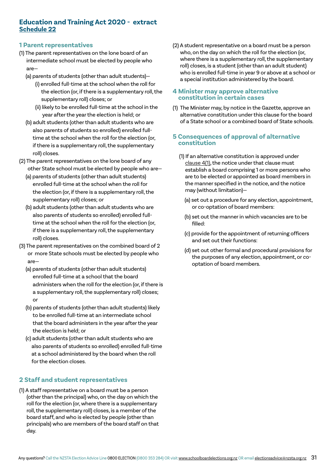# **Education and Training Act 2020 - extract [Schedule 22](https://www.legislation.govt.nz/act/public/2020/0038/latest/LMS176171.html)**

# **1 Parent representatives**

- (1) The parent representatives on the lone board of an intermediate school must be elected by people who are—
	- (a) parents of students (other than adult students)—
		- (i) enrolled full-time at the school when the roll for the election (or, if there is a supplementary roll, the supplementary roll) closes; or
		- (ii) likely to be enrolled full-time at the school in the year after the year the election is held; or
	- (b) adult students (other than adult students who are also parents of students so enrolled) enrolled full time at the school when the roll for the election (or, if there is a supplementary roll, the supplementary roll) closes.
- (2) The parent representatives on the lone board of any other State school must be elected by people who are—
	- (a) parents of students (other than adult students) enrolled full-time at the school when the roll for the election (or, if there is a supplementary roll, the supplementary roll) closes; or
	- (b) adult students (other than adult students who are also parents of students so enrolled) enrolled full time at the school when the roll for the election (or, if there is a supplementary roll, the supplementary roll) closes.
- (3) The parent representatives on the combined board of 2 or more State schools must be elected by people who are—
	- (a) parents of students (other than adult students) enrolled full-time at a school that the board administers when the roll for the election (or, if there is a supplementary roll, the supplementary roll) closes; or
	- (b) parents of students (other than adult students) likely to be enrolled full-time at an intermediate school that the board administers in the year after the year the election is held; or
	- (c) adult students (other than adult students who are also parents of students so enrolled) enrolled full-time at a school administered by the board when the roll for the election closes.

# **2 Staff and student representatives**

(1) A staff representative on a board must be a person (other than the principal) who, on the day on which the roll for the election (or, where there is a supplementary roll, the supplementary roll) closes, is a member of the board staff, and who is elected by people (other than principals) who are members of the board staff on that day.

(2) A student representative on a board must be a person who, on the day on which the roll for the election (or, where there is a supplementary roll, the supplementary roll) closes, is a student (other than an adult student) who is enrolled full-time in year 9 or above at a school or a special institution administered by the board.

# **4 Minister may approve alternative constitution in certain cases**

(1) The Minister may, by notice in the Gazette, approve an alternative constitution under this clause for the board of a State school or a combined board of State schools.

# **5 Consequences of approval of alternative constitution**

- (1) If an alternative constitution is approved under [clause 4\(1\)](https://www.legislation.govt.nz/act/public/2020/0038/latest/whole.html?search=sw_096be8ed81ae676c_alternative_25_se&p=1#LMS177791), the notice under that clause must establish a board comprising 1 or more persons who are to be elected or appointed as board members in the manner specified in the notice, and the notice may (without limitation)—
	- (a) set out a procedure for any election, appointment, or co-optation of board members:
	- (b) set out the manner in which vacancies are to be filled:
	- (c) provide for the appointment of returning officers and set out their functions:
	- (d) set out other formal and procedural provisions for the purposes of any election, appointment, or cooptation of board members.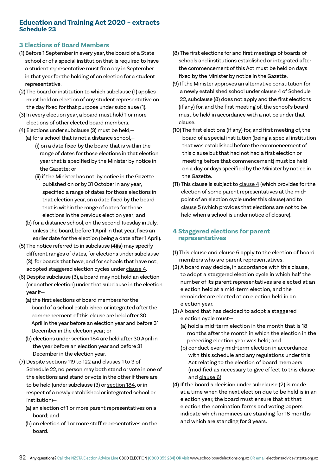# **Education and Training Act 2020 – extracts [Schedule 23](https://www.legislation.govt.nz/act/public/2020/0038/latest/LMS176172.html)**

# **3 Elections of Board Members**

- (1) Before 1 September in every year, the board of a State school or of a special institution that is required to have a student representative must fix a day in September in that year for the holding of an election for a student representative.
- (2) The board or institution to which subclause (1) applies must hold an election of any student representative on the day fixed for that purpose under subclause (1).
- (3) In every election year, a board must hold 1 or more elections of other elected board members.
- (4) Elections under subclause (3) must be held,—
	- (a) for a school that is not a distance school,— (i) on a date fixed by the board that is within the range of dates for those elections in that election year that is specified by the Minister by notice in the Gazette; or
		- (ii) if the Minister has not, by notice in the Gazette published on or by 31 October in any year, specified a range of dates for those elections in that election year, on a date fixed by the board that is within the range of dates for those elections in the previous election year; and
	- (b) for a distance school, on the second Tuesday in July, unless the board, before 1 April in that year, fixes an earlier date for the election (being a date after 1 April).
- (5) The notice referred to in subclause (4)(a) may specify different ranges of dates, for elections under subclause (3), for boards that have, and for schools that have not, adopted staggered election cycles under [clause 4.](https://www.legislation.govt.nz/act/public/2020/0038/latest/whole.html?search=sw_096be8ed81ae676c_alternative_25_se&p=1#LMS177808)
- (6) Despite subclause (3), a board may not hold an election (or another election) under that subclause in the election year if—
	- (a) the first elections of board members for the board of a school established or integrated after the commencement of this clause are held after 30 April in the year before an election year and before 31 December in the election year; or
	- (b) elections under [section 184](https://www.legislation.govt.nz/act/public/2020/0038/latest/whole.html?search=sw_096be8ed81ae676c_alternative_25_se&p=1#LMS177779) are held after 30 April in the year before an election year and before 31 December in the election year.
- (7) Despite [sections 119 to 122 a](https://www.legislation.govt.nz/act/public/2020/0038/latest/whole.html?search=sw_096be8ed81ae676c_alternative_25_se&p=1#LMS177784)nd [clauses 1 to 3](https://www.legislation.govt.nz/act/public/2020/0038/latest/whole.html?search=sw_096be8ed81ae676c_alternative_25_se&p=1#LMS177788) of Schedule 22, no person may both stand or vote in one of the elections and stand or vote in the other if there are to be held (under subclause (3) or [section 184,](https://www.legislation.govt.nz/act/public/2020/0038/latest/whole.html?search=sw_096be8ed81ae676c_alternative_25_se&p=1#LMS177779) or in respect of a newly established or integrated school or institution)—
	- (a) an election of 1 or more parent representatives on a board; and
	- (b) an election of 1 or more staff representatives on the board.
- (8) The first elections for and first meetings of boards of schools and institutions established or integrated after the commencement of this Act must be held on days fixed by the Minister by notice in the Gazette.
- (9) If the Minister approves an alternative constitution for a newly established school under [clause 4](https://www.legislation.govt.nz/act/public/2020/0038/latest/whole.html?search=sw_096be8ed81ae676c_alternative_25_se&p=1#LMS177791) of Schedule 22, subclause (8) does not apply and the first elections (if any) for, and the first meeting of, the school's board must be held in accordance with a notice under that clause.
- (10) The first elections (if any) for, and first meeting of, the board of a special institution (being a special institution that was established before the commencement of this clause but that had not had a first election or meeting before that commencement) must be held on a day or days specified by the Minister by notice in the Gazette.
- (11) This clause is subject to [clause 4](https://www.legislation.govt.nz/act/public/2020/0038/latest/whole.html?search=sw_096be8ed81ae676c_alternative_25_se&p=1#LMS177791) (which provides for the election of some parent representatives at the mid point of an election cycle under this clause) and to [clause 5](https://www.legislation.govt.nz/act/public/2020/0038/latest/whole.html?search=sw_096be8ed81ae676c_alternative_25_se&p=1#LMS177809) (which provides that elections are not to be held when a school is under notice of closure).

# **4 Staggered elections for parent representatives**

- (1) This clause and [clause 6](https://www.legislation.govt.nz/act/public/2020/0038/latest/whole.html?search=qs_act%40bill%40regulation%40deemedreg_education+and+training+act_resel_25_h&p=1#LMS177808) apply to the election of board members who are parent representatives.
- (2) A board may decide, in accordance with this clause, to adopt a staggered election cycle in which half the number of its parent representatives are elected at an election held at a mid-term election, and the remainder are elected at an election held in an election year.
- (3) A board that has decided to adopt a staggered election cycle must—
	- (a) hold a mid-term election in the month that is 18 months after the month in which the election in the preceding election year was held; and
	- (b) conduct every mid-term election in accordance with this schedule and any regulations under this Act relating to the election of board members (modified as necessary to give effect to this clause and [clause 6](https://www.legislation.govt.nz/act/public/2020/0038/latest/whole.html?search=qs_act%40bill%40regulation%40deemedreg_education+and+training+act_resel_25_h&p=1#LMS177808)).
- (4) If the board's decision under subclause (2) is made at a time when the next election due to be held is in an election year, the board must ensure that at that election the nomination forms and voting papers indicate which nominees are standing for 18 months and which are standing for 3 years.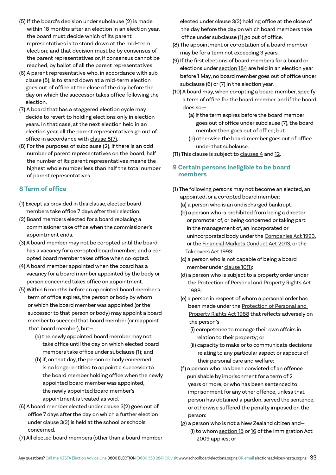- (5) If the board's decision under subclause (2) is made within 18 months after an election in an election year, the board must decide which of its parent representatives is to stand down at the mid-term election; and that decision must be by consensus of the parent representatives or, if consensus cannot be reached, by ballot of all the parent representatives.
- (6) A parent representative who, in accordance with sub clause (5), is to stand down at a mid-term election goes out of office at the close of the day before the day on which the successor takes office following the election.
- (7) A board that has a staggered election cycle may decide to revert to holding elections only in election years. In that case, at the next election held in an election year, all the parent representatives go out of office in accordance with [clause 8\(7\)](https://www.legislation.govt.nz/act/public/2020/0038/latest/whole.html?search=qs_act%40bill%40regulation%40deemedreg_education+and+training+act_resel_25_h&p=1#LMS177808).
- (8) For the purposes of subclause (2), if there is an odd number of parent representatives on the board, half the number of its parent representatives means the highest whole number less than half the total number of parent representatives.

# **8 Term of office**

- (1) Except as provided in this clause, elected board members take office 7 days after their election.
- (2) Board members elected for a board replacing a commissioner take office when the commissioner's appointment ends.
- (3) A board member may not be co-opted until the board has a vacancy for a co-opted board member; and a co opted board member takes office when co-opted.
- (4) A board member appointed when the board has a vacancy for a board member appointed by the body or person concerned takes office on appointment.
- (5) Within 6 months before an appointed board member's term of office expires, the person or body by whom or which the board member was appointed (or the successor to that person or body) may appoint a board member to succeed that board member (or reappoint that board member), but—
	- (a) the newly appointed board member may not take office until the day on which elected board members take office under subclause (1); and
	- (b) if, on that day, the person or body concerned is no longer entitled to appoint a successor to the board member holding office when the newly appointed board member was appointed, the newly appointed board member's appointment is treated as void.
- (6) A board member elected under [clause 3\(2\)](https://www.legislation.govt.nz/act/public/2020/0038/latest/whole.html?search=sw_096be8ed81ae676c_alternative_25_se&p=1#LMS177806) goes out of office 7 days after the day on which a further election under [clause 3\(2\)](https://www.legislation.govt.nz/act/public/2020/0038/latest/whole.html?search=sw_096be8ed81ae676c_alternative_25_se&p=1#LMS177806) is held at the school or schools concerned.
- (7) All elected board members (other than a board member

 elected under [clause 3\(2\)](https://www.legislation.govt.nz/act/public/2020/0038/latest/whole.html?search=sw_096be8ed81ae676c_alternative_25_se&p=1#LMS177806) holding office at the close of the day before the day on which board members take office under subclause (1) go out of office.

- (8) The appointment or co-optation of a board member may be for a term not exceeding 3 years.
- (9) If the first elections of board members for a board or elections under [section 184](https://www.legislation.govt.nz/act/public/2020/0038/latest/whole.html?search=sw_096be8ed81ae676c_alternative_25_se&p=1#LMS177779) are held in an election year before 1 May, no board member goes out of office under subclause (6) or (7) in the election year.
- (10) A board may, when co-opting a board member, specify a term of office for the board member, and if the board does so,—
	- (a) if the term expires before the board member goes out of office under subclause (7), the board member then goes out of office; but
	- (b) otherwise the board member goes out of office under that subclause.
- (11) This clause is subject to [clauses 4](https://www.legislation.govt.nz/act/public/2020/0038/latest/whole.html?search=sw_096be8ed81ae676c_alternative_25_se&p=1#LMS177808) and [12.](https://www.legislation.govt.nz/act/public/2020/0038/latest/whole.html?search=sw_096be8ed81ae676c_alternative_25_se&p=1#LMS177826)

# **9 Certain persons ineligible to be board members**

- (1) The following persons may not become an elected, an appointed, or a co-opted board member: (a) a person who is an undischarged bankrupt:
	- (b) a person who is prohibited from being a director or promoter of, or being concerned or taking part in the management of, an incorporated or unincorporated body under the [Companies Act 1993,](https://www.legislation.govt.nz/act/public/1993/0105/latest/DLM319570.html?search=sw_096be8ed81aa3b21_alternative_25_se&p=1#DLM319569) or the [Financial Markets Conduct Act 2013](https://www.legislation.govt.nz/act/public/2013/0069/latest/DLM4090578.html?search=sw_096be8ed81a9e140_alternative_25_se&p=1#DLM4090503), or the [Takeovers Act 1993](https://www.legislation.govt.nz/act/public/1993/0107/latest/DLM325509.html?search=sw_096be8ed81a4c772_alternative_25_se&p=1#DLM325508):
	- (c) a person who is not capable of being a board member under [clause 10\(1\)](https://www.legislation.govt.nz/act/public/2020/0038/latest/whole.html?search=sw_096be8ed81ae676c_alternative_25_se&p=1#LMS177823):
	- (d) a person who is subject to a property order under the [Protection of Personal and Property Rights Act](https://www.legislation.govt.nz/act/public/1988/0004/latest/DLM126528.html?search=sw_096be8ed81a72063_alternative_25_se&p=1#DLM126527)  [1988:](https://www.legislation.govt.nz/act/public/1988/0004/latest/DLM126528.html?search=sw_096be8ed81a72063_alternative_25_se&p=1#DLM126527)
	- (e) a person in respect of whom a personal order has been made under the [Protection of Personal and](https://www.legislation.govt.nz/act/public/1988/0004/latest/DLM126528.html?search=sw_096be8ed81a72063_alternative_25_se&p=1#DLM126527)  [Property Rights Act 1988](https://www.legislation.govt.nz/act/public/1988/0004/latest/DLM126528.html?search=sw_096be8ed81a72063_alternative_25_se&p=1#DLM126527) that reflects adversely on the person's—
		- (i) competence to manage their own affairs in relation to their property; or
		- (ii) capacity to make or to communicate decisions relating to any particular aspect or aspects of their personal care and welfare:
	- (f) a person who has been convicted of an offence punishable by imprisonment for a term of 2 years or more, or who has been sentenced to imprisonment for any other offence, unless that person has obtained a pardon, served the sentence, or otherwise suffered the penalty imposed on the person:
	- (g) a person who is not a New Zealand citizen and— (i) to whom [section 15](https://www.legislation.govt.nz/act/public/2009/0051/latest/DLM1440598.html?search=sw_096be8ed81ac182c_alternative_25_se&p=1#DLM1440598) or [16](https://www.legislation.govt.nz/act/public/2009/0051/latest/DLM1440599.html?search=sw_096be8ed81ac182c_alternative_25_se&p=1#DLM1440599) of the Immigration Act

2009 applies; or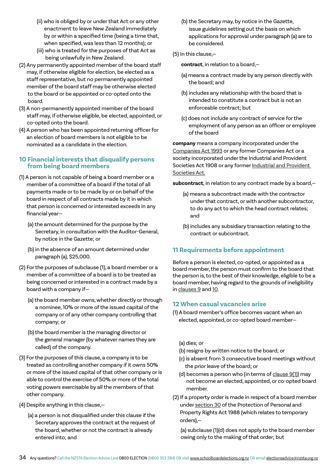- (ii) who is obliged by or under that Act or any other enactment to leave New Zealand immediately by or within a specified time (being a time that, when specified, was less than 12 months); or
- (iii) who is treated for the purposes of that Act as being unlawfully in New Zealand.
- (2) Any permanently appointed member of the board staff may, if otherwise eligible for election, be elected as a staff representative, but no permanently appointed member of the board staff may be otherwise elected to the board or be appointed or co-opted onto the board.
- (3) A non-permanently appointed member of the board staff may, if otherwise eligible, be elected, appointed, or co-opted onto the board.
- (4) A person who has been appointed returning officer for an election of board members is not eligible to be nominated as a candidate in the election.

# **10 Financial interests that disqualify persons from being board members**

- (1) A person is not capable of being a board member or a member of a committee of a board if the total of all payments made or to be made by or on behalf of the board in respect of all contracts made by it in which that person is concerned or interested exceeds in any financial year—
	- (a) the amount determined for the purpose by the Secretary, in consultation with the Auditor-General, by notice in the Gazette; or
	- (b) in the absence of an amount determined under paragraph (a), \$25,000.
- (2) For the purposes of subclause (1), a board member or a member of a committee of a board is to be treated as being concerned or interested in a contract made by a board with a company if—
	- (a) the board member owns, whether directly or through a nominee, 10% or more of the issued capital of the company or of any other company controlling that company; or
	- (b) the board member is the managing director or the general manager (by whatever names they are called) of the company.
- (3) For the purposes of this clause, a company is to be treated as controlling another company if it owns 50% or more of the issued capital of that other company or is able to control the exercise of 50% or more of the total voting powers exercisable by all the members of that other company.
- (4) Despite anything in this clause,—
	- (a) a person is not disqualified under this clause if the Secretary approves the contract at the request of the board, whether or not the contract is already entered into; and
- (b) the Secretary may, by notice in the Gazette, issue guidelines setting out the basis on which applications for approval under paragraph (a) are to be considered.
- (5) In this clause,—

**contract**, in relation to a board,—

- (a) means a contract made by any person directly with the board; and
- (b) includes any relationship with the board that is intended to constitute a contract but is not an enforceable contract; but
- (c) does not include any contract of service for the employment of any person as an officer or employee of the board

**company** means a company incorporated under the [Companies Act 1993](https://www.legislation.govt.nz/act/public/1993/0105/latest/DLM319570.html?search=sw_096be8ed81aa3b21_alternative_25_se&p=1#DLM319569) or any former Companies Act or a society incorporated under the Industrial and Provident Societies Act 1908 or any former Industrial and Provident [Societies Act.](https://www.legislation.govt.nz/act/public/1908/0081/latest/DLM144406.html?search=sw_096be8ed81a0219b_alternative_25_se&p=1#DLM144405)

**subcontract**, in relation to any contract made by a board,—

- (a) means a subcontract made with the contractor under that contract, or with another subcontractor, to do any act to which the head contract relates; and
- (b) includes any subsidiary transaction relating to the contract or subcontract.

# **11 Requirements before appointment**

Before a person is elected, co-opted, or appointed as a board member, the person must confirm to the board that the person is, to the best of their knowledge, eligible to be a board member, having regard to the grounds of ineligibility in [clauses 9](https://www.legislation.govt.nz/act/public/2020/0038/latest/whole.html?search=sw_096be8ed81ae676c_alternative_25_se&p=1#LMS177816) and [10.](https://www.legislation.govt.nz/act/public/2020/0038/latest/whole.html?search=sw_096be8ed81ae676c_alternative_25_se&p=1#LMS177823)

# **12 When casual vacancies arise**

- (1) A board member's office becomes vacant when an elected, appointed, or co-opted board member—
	- (a) dies; or
	- (b) resigns by written notice to the board; or
	- (c) is absent from 3 consecutive board meetings without the prior leave of the board; or
	- (d) becomes a person who (in terms of [clause 9\(1\)](https://www.legislation.govt.nz/act/public/2020/0038/latest/whole.html?search=sw_096be8ed81ae676c_alternative_25_se&p=1#LMS177816)) may not become an elected, appointed, or co-opted board member.
- (2) If a property order is made in respect of a board member under [section 30](https://www.legislation.govt.nz/act/public/1988/0004/latest/DLM127009.html?search=sw_096be8ed81a72063_alternative_25_se&p=1#DLM127009) of the Protection of Personal and Property Rights Act 1988 (which relates to temporary orders),—

(a) subclause (1)(d) does not apply to the board member owing only to the making of that order; but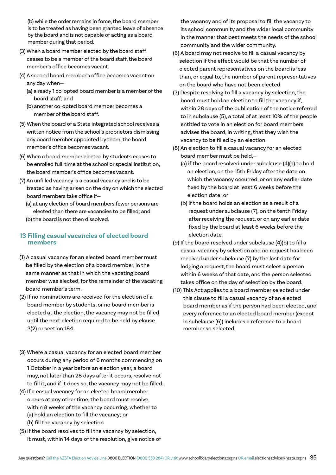(b) while the order remains in force, the board member is to be treated as having been granted leave of absence by the board and is not capable of acting as a board member during that period.

- (3) When a board member elected by the board staff ceases to be a member of the board staff, the board member's office becomes vacant.
- (4) A second board member's office becomes vacant on any day when—
	- (a) already 1 co-opted board member is a member of the board staff; and
	- (b) another co-opted board member becomes a member of the board staff.
- (5) When the board of a State integrated school receives a written notice from the school's proprietors dismissing any board member appointed by them, the board member's office becomes vacant.
- (6) When a board member elected by students ceases to be enrolled full-time at the school or special institution, the board member's office becomes vacant.
- (7) An unfilled vacancy is a casual vacancy and is to be treated as having arisen on the day on which the elected board members take office if—
	- (a) at any election of board members fewer persons are elected than there are vacancies to be filled; and
	- (b) the board is not then dissolved.

# **13 Filling casual vacancies of elected board members**

- (1) A casual vacancy for an elected board member must be filled by the election of a board member, in the same manner as that in which the vacating board member was elected, for the remainder of the vacating board member's term.
- (2) If no nominations are received for the election of a board member by students, or no board member is elected at the election, the vacancy may not be filled until the next election required to be held by [clause](https://www.legislation.govt.nz/act/public/2020/0038/latest/LMS177779.html) [3\(2\) or section 184.](https://www.legislation.govt.nz/act/public/2020/0038/latest/LMS177779.html)
- (3) Where a casual vacancy for an elected board member occurs during any period of 6 months commencing on 1 October in a year before an election year, a board may, not later than 28 days after it occurs, resolve not to fill it, and if it does so, the vacancy may not be filled.
- (4) If a casual vacancy for an elected board member occurs at any other time, the board must resolve, within 8 weeks of the vacancy occurring, whether to (a) hold an election to fill the vacancy; or (b) fill the vacancy by selection
- (5) If the board resolves to fill the vacancy by selection, it must, within 14 days of the resolution, give notice of

 the vacancy and of its proposal to fill the vacancy to its school community and the wider local community in the manner that best meets the needs of the school community and the wider community.

- (6) A board may not resolve to fill a casual vacancy by selection if the effect would be that the number of elected parent representatives on the board is less than, or equal to, the number of parent representatives on the board who have not been elected.
- (7) Despite resolving to fill a vacancy by selection, the board must hold an election to fill the vacancy if, within 28 days of the publication of the notice referred to in subclause (5), a total of at least 10% of the people entitled to vote in an election for board members advises the board, in writing, that they wish the vacancy to be filled by an election.
- (8) An election to fill a casual vacancy for an elected board member must be held,—
	- (a) if the board resolved under subclause (4)(a) to hold an election, on the 15th Friday after the date on which the vacancy occurred, or on any earlier date fixed by the board at least 6 weeks before the election date; or
	- (b) if the board holds an election as a result of a request under subclause (7), on the tenth Friday after receiving the request, or on any earlier date fixed by the board at least 6 weeks before the election date.
- (9) If the board resolved under subclause (4)(b) to fill a casual vacancy by selection and no request has been received under subclause (7) by the last date for lodging a request, the board must select a person within 6 weeks of that date, and the person selected takes office on the day of selection by the board.
- (10) This Act applies to a board member selected under this clause to fill a casual vacancy of an elected board member as if the person had been elected, and every reference to an elected board member (except in subclause (6)) includes a reference to a board member so selected.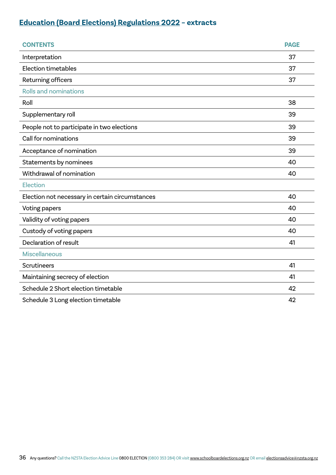# **[Education \(Board Elections\) Regulations 2022](https://www.legislation.govt.nz/regulation/public/2020/0193/latest/whole.html) – extracts**

| <b>CONTENTS</b>                                 | <b>PAGE</b> |
|-------------------------------------------------|-------------|
| Interpretation                                  | 37          |
| <b>Election timetables</b>                      | 37          |
| Returning officers                              | 37          |
| <b>Rolls and nominations</b>                    |             |
| Roll                                            | 38          |
| Supplementary roll                              | 39          |
| People not to participate in two elections      | 39          |
| Call for nominations                            | 39          |
| Acceptance of nomination                        | 39          |
| Statements by nominees                          | 40          |
| Withdrawal of nomination                        | 40          |
| Election                                        |             |
| Election not necessary in certain circumstances | 40          |
| Voting papers                                   | 40          |
| Validity of voting papers                       | 40          |
| Custody of voting papers                        | 40          |
| Declaration of result                           | 41          |
| <b>Miscellaneous</b>                            |             |
| <b>Scrutineers</b>                              | 41          |
| Maintaining secrecy of election                 | 41          |
| Schedule 2 Short election timetable             | 42          |
| Schedule 3 Long election timetable              | 42          |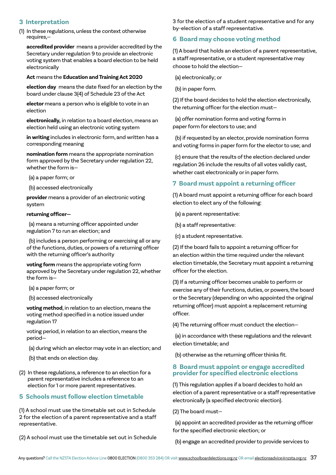# **3 Interpretation**

(1) In these regulations, unless the context otherwise requires,—

**accredited provider** means a provider accredited by the Secretary under regulation 9 to provide an electronic voting system that enables a board election to be held electronically

### **Act** means the **Education and Training Act 2020**

**election day** means the date fixed for an election by the board under clause 3(4) of Schedule 23 of the Act

**elector** means a person who is eligible to vote in an election

**electronically,** in relation to a board election, means an election held using an electronic voting system

**in writing** includes in electronic form, and written has a corresponding meaning

**nomination form** means the appropriate nomination form approved by the Secretary under regulation 22, whether the form is—

(a) a paper form; or

(b) accessed electronically

**provider** means a provider of an electronic voting system

### **returning officer—**

 (a) means a returning officer appointed under regulation 7 to run an election; and

 (b) includes a person performing or exercising all or any of the functions, duties, or powers of a returning officer with the returning officer's authority

**voting form** means the appropriate voting form approved by the Secretary under regulation 22, whether the form is—

(a) a paper form; or

(b) accessed electronically

**voting method**, in relation to an election, means the voting method specified in a notice issued under regulation 17

voting period, in relation to an election, means the period—

- (a) during which an elector may vote in an election; and
- (b) that ends on election day.
- (2) In these regulations, a reference to an election for a parent representative includes a reference to an election for 1 or more parent representatives.

# **5 Schools must follow election timetable**

(1) A school must use the timetable set out in Schedule 2 for the election of a parent representative and a staff representative.

(2) A school must use the timetable set out in Schedule

3 for the election of a student representative and for any by-election of a staff representative.

# **6 Board may choose voting method**

(1) A board that holds an election of a parent representative, a staff representative, or a student representative may choose to hold the election—

(a) electronically; or

(b) in paper form.

(2) If the board decides to hold the election electronically, the returning officer for the election must—

 (a) offer nomination forms and voting forms in paper form for electors to use; and

 (b) if requested by an elector, provide nomination forms and voting forms in paper form for the elector to use; and

 (c) ensure that the results of the election declared under regulation 26 include the results of all votes validly cast, whether cast electronically or in paper form.

# **7 Board must appoint a returning officer**

(1) A board must appoint a returning officer for each board election to elect any of the following:

(a) a parent representative:

(b) a staff representative:

(c) a student representative.

(2) If the board fails to appoint a returning officer for an election within the time required under the relevant election timetable, the Secretary must appoint a returning officer for the election.

(3) If a returning officer becomes unable to perform or exercise any of their functions, duties, or powers, the board or the Secretary (depending on who appointed the original returning officer) must appoint a replacement returning officer.

(4) The returning officer must conduct the election—

 (a) in accordance with these regulations and the relevant election timetable; and

(b) otherwise as the returning officer thinks fit.

# **8 Board must appoint or engage accredited provider for specified electronic elections**

(1) This regulation applies if a board decides to hold an election of a parent representative or a staff representative electronically (a specified electronic election).

(2) The board must—

 (a) appoint an accredited provider as the returning officer for the specified electronic election; or

(b) engage an accredited provider to provide services to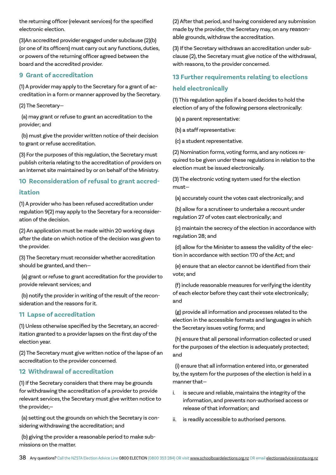the returning officer (relevant services) for the specified electronic election.

(3)An accredited provider engaged under subclause (2)(b) (or one of its officers) must carry out any functions, duties, or powers of the returning officer agreed between the board and the accredited provider.

# **9 Grant of accreditation**

(1) A provider may apply to the Secretary for a grant of accreditation in a form or manner approved by the Secretary.

(2) The Secretary—

 (a) may grant or refuse to grant an accreditation to the provider; and

 (b) must give the provider written notice of their decision to grant or refuse accreditation.

(3) For the purposes of this regulation, the Secretary must publish criteria relating to the accreditation of providers on an Internet site maintained by or on behalf of the Ministry.

# **10 Reconsideration of refusal to grant accred-**

# **itation**

(1) A provider who has been refused accreditation under regulation 9(2) may apply to the Secretary for a reconsideration of the decision.

(2) An application must be made within 20 working days after the date on which notice of the decision was given to the provider.

(3) The Secretary must reconsider whether accreditation should be granted, and then—

 (a) grant or refuse to grant accreditation for the provider to provide relevant services; and

 (b) notify the provider in writing of the result of the reconsideration and the reasons for it.

# **11 Lapse of accreditation**

(1) Unless otherwise specified by the Secretary, an accreditation granted to a provider lapses on the first day of the election year.

(2) The Secretary must give written notice of the lapse of an accreditation to the provider concerned.

# **12 Withdrawal of accreditation**

(1) If the Secretary considers that there may be grounds for withdrawing the accreditation of a provider to provide relevant services, the Secretary must give written notice to the provider,—

 (a) setting out the grounds on which the Secretary is considering withdrawing the accreditation; and

 (b) giving the provider a reasonable period to make submissions on the matter.

(2) After that period, and having considered any submission made by the provider, the Secretary may, on any reasonable grounds, withdraw the accreditation.

(3) If the Secretary withdraws an accreditation under subclause (2), the Secretary must give notice of the withdrawal, with reasons, to the provider concerned.

# **13 Further requirements relating to elections held electronically**

(1) This regulation applies if a board decides to hold the election of any of the following persons electronically:

(a) a parent representative:

(b) a staff representative:

(c) a student representative.

(2) Nomination forms, voting forms, and any notices required to be given under these regulations in relation to the election must be issued electronically.

(3) The electronic voting system used for the election must—

(a) accurately count the votes cast electronically; and

 (b) allow for a scrutineer to undertake a recount under regulation 27 of votes cast electronically; and

 (c) maintain the secrecy of the election in accordance with regulation 28; and

 (d) allow for the Minister to assess the validity of the election in accordance with section 170 of the Act; and

 (e) ensure that an elector cannot be identified from their vote; and

 (f) include reasonable measures for verifying the identity of each elector before they cast their vote electronically; and

 (g) provide all information and processes related to the election in the accessible formats and languages in which the Secretary issues voting forms; and

 (h) ensure that all personal information collected or used for the purposes of the election is adequately protected; and

 (i) ensure that all information entered into, or generated by, the system for the purposes of the election is held in a manner that—

- i. is secure and reliable, maintains the integrity of the information, and prevents non-authorised access or release of that information; and
- ii. is readily accessible to authorised persons.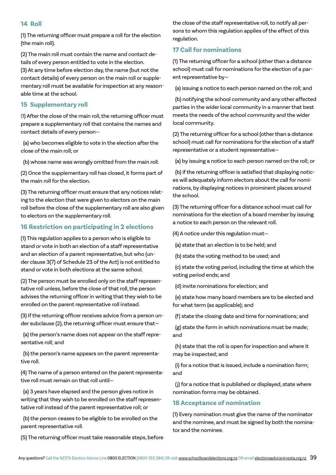# **14 Roll**

(1) The returning officer must prepare a roll for the election (the main roll).

(2) The main roll must contain the name and contact details of every person entitled to vote in the election. (3) At any time before election day, the name (but not the contact details) of every person on the main roll or supplementary roll must be available for inspection at any reasonable time at the school.

# **15 Supplementary roll**

(1) After the close of the main roll, the returning officer must prepare a supplementary roll that contains the names and contact details of every person—

 (a) who becomes eligible to vote in the election after the close of the main roll; or

(b) whose name was wrongly omitted from the main roll.

(2) Once the supplementary roll has closed, it forms part of the main roll for the election.

(3) The returning officer must ensure that any notices relating to the election that were given to electors on the main roll before the close of the supplementary roll are also given to electors on the supplementary roll.

# **16 Restriction on participating in 2 elections**

(1) This regulation applies to a person who is eligible to stand or vote in both an election of a staff representative and an election of a parent representative, but who (under clause 3(7) of Schedule 23 of the Act) is not entitled to stand or vote in both elections at the same school.

(2) The person must be enrolled only on the staff representative roll unless, before the close of that roll, the person advises the returning officer in writing that they wish to be enrolled on the parent representative roll instead.

(3) If the returning officer receives advice from a person under subclause (2), the returning officer must ensure that—

 (a) the person's name does not appear on the staff representative roll; and

 (b) the person's name appears on the parent representative roll.

(4) The name of a person entered on the parent representative roll must remain on that roll until—

 (a) 3 years have elapsed and the person gives notice in writing that they wish to be enrolled on the staff representative roll instead of the parent representative roll; or

 (b) the person ceases to be eligible to be enrolled on the parent representative roll.

(5) The returning officer must take reasonable steps, before

the close of the staff representative roll, to notify all persons to whom this regulation applies of the effect of this regulation.

# **17 Call for nominations**

(1) The returning officer for a school (other than a distance school) must call for nominations for the election of a parent representative by—

(a) issuing a notice to each person named on the roll; and

 (b) notifying the school community and any other affected parties in the wider local community in a manner that best meets the needs of the school community and the wider local community.

(2) The returning officer for a school (other than a distance school) must call for nominations for the election of a staff representative or a student representative—

(a) by issuing a notice to each person named on the roll; or

 (b) if the returning officer is satisfied that displaying notices will adequately inform electors about the call for nominations, by displaying notices in prominent places around the school.

(3) The returning officer for a distance school must call for nominations for the election of a board member by issuing a notice to each person on the relevant roll.

(4) A notice under this regulation must—

(a) state that an election is to be held; and

(b) state the voting method to be used; and

 (c) state the voting period, including the time at which the voting period ends; and

(d) invite nominations for election; and

 (e) state how many board members are to be elected and for what term (as applicable); and

(f) state the closing date and time for nominations; and

 (g) state the form in which nominations must be made; and

 (h) state that the roll is open for inspection and where it may be inspected; and

 (i) for a notice that is issued, include a nomination form; and

 (j) for a notice that is published or displayed, state where nomination forms may be obtained.

# **18 Acceptance of nomination**

(1) Every nomination must give the name of the nominator and the nominee, and must be signed by both the nominator and the nominee.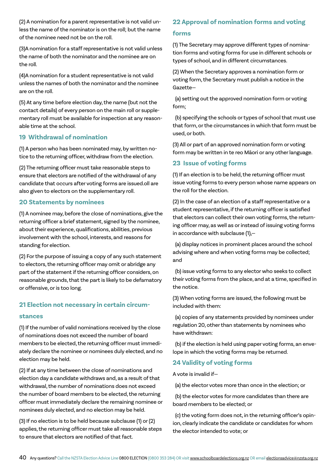(2) A nomination for a parent representative is not valid unless the name of the nominator is on the roll; but the name of the nominee need not be on the roll.

(3)A nomination for a staff representative is not valid unless the name of both the nominator and the nominee are on the roll.

(4)A nomination for a student representative is not valid unless the names of both the nominator and the nominee are on the roll.

(5) At any time before election day, the name (but not the contact details) of every person on the main roll or supplementary roll must be available for inspection at any reasonable time at the school.

# **19 Withdrawal of nomination**

(1) A person who has been nominated may, by written notice to the returning officer, withdraw from the election.

(2) The returning officer must take reasonable steps to ensure that electors are notified of the withdrawal of any candidate that occurs after voting forms are issued.oll are also given to electors on the supplementary roll.

# **20 Statements by nominees**

(1) A nominee may, before the close of nominations, give the returning officer a brief statement, signed by the nominee, about their experience, qualifications, abilities, previous involvement with the school, interests, and reasons for standing for election.

(2) For the purpose of issuing a copy of any such statement to electors, the returning officer may omit or abridge any part of the statement if the returning officer considers, on reasonable grounds, that the part is likely to be defamatory or offensive, or is too long.

# **21 Election not necessary in certain circum-**

# **stances**

(1) If the number of valid nominations received by the close of nominations does not exceed the number of board members to be elected, the returning officer must immediately declare the nominee or nominees duly elected, and no election may be held.

(2) If at any time between the close of nominations and election day a candidate withdraws and, as a result of that withdrawal, the number of nominations does not exceed the number of board members to be elected, the returning officer must immediately declare the remaining nominee or nominees duly elected, and no election may be held.

(3) If no election is to be held because subclause (1) or (2) applies, the returning officer must take all reasonable steps to ensure that electors are notified of that fact.

# **22 Approval of nomination forms and voting**

# **forms**

(1) The Secretary may approve different types of nomination forms and voting forms for use in different schools or types of school, and in different circumstances.

(2) When the Secretary approves a nomination form or voting form, the Secretary must publish a notice in the Gazette—

 (a) setting out the approved nomination form or voting form;

 (b) specifying the schools or types of school that must use that form, or the circumstances in which that form must be used, or both.

(3) All or part of an approved nomination form or voting form may be written in te reo Māori or any other language.

# **23 Issue of voting forms**

(1) If an election is to be held, the returning officer must issue voting forms to every person whose name appears on the roll for the election.

(2) In the case of an election of a staff representative or a student representative, if the returning officer is satisfied that electors can collect their own voting forms, the returning officer may, as well as or instead of issuing voting forms in accordance with subclause (1),—

 (a) display notices in prominent places around the school advising where and when voting forms may be collected; and

 (b) issue voting forms to any elector who seeks to collect their voting forms from the place, and at a time, specified in the notice.

(3) When voting forms are issued, the following must be included with them:

 (a) copies of any statements provided by nominees under regulation 20, other than statements by nominees who have withdrawn:

 (b) if the election is held using paper voting forms, an envelope in which the voting forms may be returned.

# **24 Validity of voting forms**

A vote is invalid if—

(a) the elector votes more than once in the election; or

 (b) the elector votes for more candidates than there are board members to be elected; or

 (c) the voting form does not, in the returning officer's opinion, clearly indicate the candidate or candidates for whom the elector intended to vote; or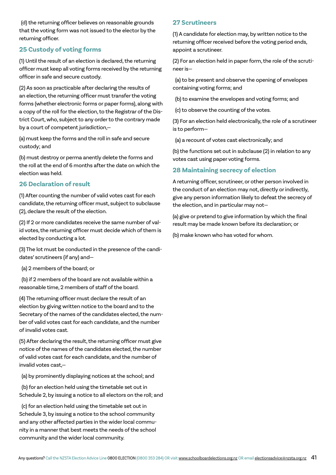(d) the returning officer believes on reasonable grounds that the voting form was not issued to the elector by the returning officer.

# **25 Custody of voting forms**

(1) Until the result of an election is declared, the returning officer must keep all voting forms received by the returning officer in safe and secure custody.

(2) As soon as practicable after declaring the results of an election, the returning officer must transfer the voting forms (whether electronic forms or paper forms), along with a copy of the roll for the election, to the Registrar of the District Court, who, subject to any order to the contrary made by a court of competent jurisdiction,—

(a) must keep the forms and the roll in safe and secure custody; and

(b) must destroy or perma anently delete the forms and the roll at the end of 6 months after the date on which the election was held.

# **26 Declaration of result**

(1) After counting the number of valid votes cast for each candidate, the returning officer must, subject to subclause (2), declare the result of the election.

(2) If 2 or more candidates receive the same number of valid votes, the returning officer must decide which of them is elected by conducting a lot.

(3) The lot must be conducted in the presence of the candidates' scrutineers (if any) and—

(a) 2 members of the board; or

 (b) if 2 members of the board are not available within a reasonable time, 2 members of staff of the board.

(4) The returning officer must declare the result of an election by giving written notice to the board and to the Secretary of the names of the candidates elected, the number of valid votes cast for each candidate, and the number of invalid votes cast.

(5) After declaring the result, the returning officer must give notice of the names of the candidates elected, the number of valid votes cast for each candidate, and the number of invalid votes cast,—

(a) by prominently displaying notices at the school; and

 (b) for an election held using the timetable set out in Schedule 2, by issuing a notice to all electors on the roll; and

 (c) for an election held using the timetable set out in Schedule 3, by issuing a notice to the school community and any other affected parties in the wider local community in a manner that best meets the needs of the school community and the wider local community.

# **27 Scrutineers**

(1) A candidate for election may, by written notice to the returning officer received before the voting period ends, appoint a scrutineer.

(2) For an election held in paper form, the role of the scrutineer is—

 (a) to be present and observe the opening of envelopes containing voting forms; and

(b) to examine the envelopes and voting forms; and

(c) to observe the counting of the votes.

(3) For an election held electronically, the role of a scrutineer is to perform—

(a) a recount of votes cast electronically; and

(b) the functions set out in subclause (2) in relation to any votes cast using paper voting forms.

# **28 Maintaining secrecy of election**

A returning officer, scrutineer, or other person involved in the conduct of an election may not, directly or indirectly, give any person information likely to defeat the secrecy of the election, and in particular may not—

(a) give or pretend to give information by which the final result may be made known before its declaration; or

(b) make known who has voted for whom.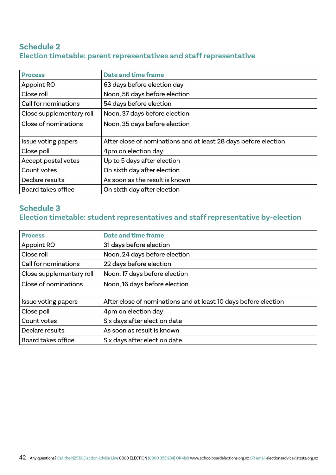# **Schedule 2 Election timetable: parent representatives and staff representative**

| <b>Process</b>            | <b>Date and time frame</b>                                      |
|---------------------------|-----------------------------------------------------------------|
| Appoint RO                | 63 days before election day                                     |
| Close roll                | Noon, 56 days before election                                   |
| Call for nominations      | 54 days before election                                         |
| Close supplementary roll  | Noon, 37 days before election                                   |
| Close of nominations      | Noon, 35 days before election                                   |
| Issue voting papers       | After close of nominations and at least 28 days before election |
| Close poll                | 4pm on election day                                             |
| Accept postal votes       | Up to 5 days after election                                     |
| Count votes               | On sixth day after election                                     |
| Declare results           | As soon as the result is known                                  |
| <b>Board takes office</b> | On sixth day after election                                     |

# **Schedule 3 Election timetable: student representatives and staff representative by-election**

| <b>Process</b>           | <b>Date and time frame</b>                                      |
|--------------------------|-----------------------------------------------------------------|
| Appoint RO               | 31 days before election                                         |
| Close roll               | Noon, 24 days before election                                   |
| Call for nominations     | 22 days before election                                         |
| Close supplementary roll | Noon, 17 days before election                                   |
| Close of nominations     | Noon, 16 days before election                                   |
| Issue voting papers      | After close of nominations and at least 10 days before election |
| Close poll               | 4pm on election day                                             |
| Count votes              | Six days after election date                                    |
| Declare results          | As soon as result is known                                      |
| Board takes office       | Six days after election date                                    |